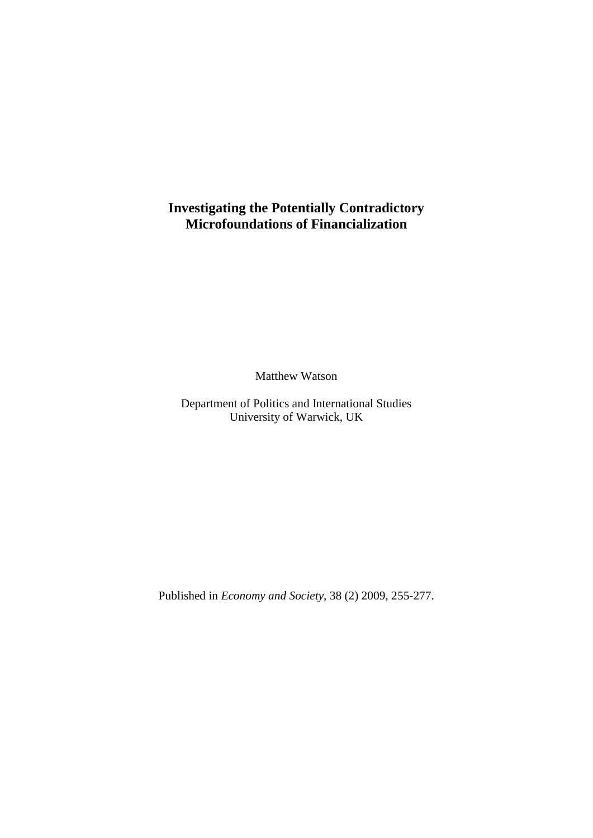# **Investigating the Potentially Contradictory Microfoundations of Financialization**

Matthew Watson

Department of Politics and International Studies University of Warwick, UK

Published in *Economy and Society*, 38 (2) 2009, 255-277.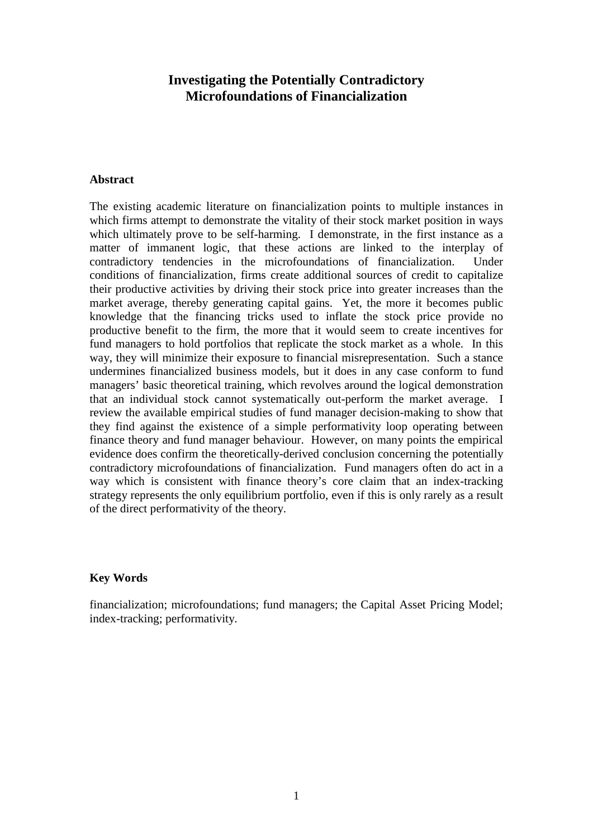## **Investigating the Potentially Contradictory Microfoundations of Financialization**

## **Abstract**

The existing academic literature on financialization points to multiple instances in which firms attempt to demonstrate the vitality of their stock market position in ways which ultimately prove to be self-harming. I demonstrate, in the first instance as a matter of immanent logic, that these actions are linked to the interplay of contradictory tendencies in the microfoundations of financialization. Under conditions of financialization, firms create additional sources of credit to capitalize their productive activities by driving their stock price into greater increases than the market average, thereby generating capital gains. Yet, the more it becomes public knowledge that the financing tricks used to inflate the stock price provide no productive benefit to the firm, the more that it would seem to create incentives for fund managers to hold portfolios that replicate the stock market as a whole. In this way, they will minimize their exposure to financial misrepresentation. Such a stance undermines financialized business models, but it does in any case conform to fund managers' basic theoretical training, which revolves around the logical demonstration that an individual stock cannot systematically out-perform the market average. I review the available empirical studies of fund manager decision-making to show that they find against the existence of a simple performativity loop operating between finance theory and fund manager behaviour. However, on many points the empirical evidence does confirm the theoretically-derived conclusion concerning the potentially contradictory microfoundations of financialization. Fund managers often do act in a way which is consistent with finance theory's core claim that an index-tracking strategy represents the only equilibrium portfolio, even if this is only rarely as a result of the direct performativity of the theory.

## **Key Words**

financialization; microfoundations; fund managers; the Capital Asset Pricing Model; index-tracking; performativity.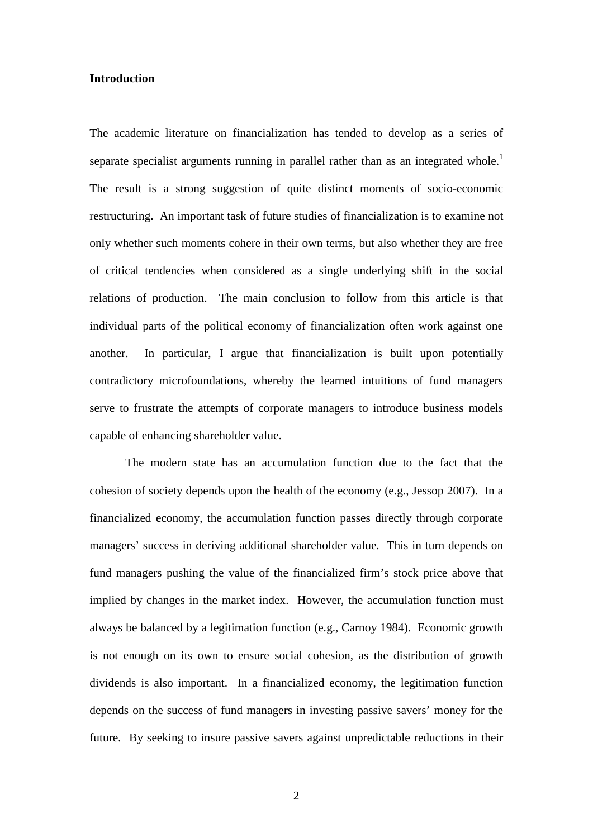## **Introduction**

The academic literature on financialization has tended to develop as a series of separate specialist arguments running in parallel rather than as an integrated whole.<sup>1</sup> The result is a strong suggestion of quite distinct moments of socio-economic restructuring. An important task of future studies of financialization is to examine not only whether such moments cohere in their own terms, but also whether they are free of critical tendencies when considered as a single underlying shift in the social relations of production. The main conclusion to follow from this article is that individual parts of the political economy of financialization often work against one another. In particular, I argue that financialization is built upon potentially contradictory microfoundations, whereby the learned intuitions of fund managers serve to frustrate the attempts of corporate managers to introduce business models capable of enhancing shareholder value.

The modern state has an accumulation function due to the fact that the cohesion of society depends upon the health of the economy (e.g., Jessop 2007). In a financialized economy, the accumulation function passes directly through corporate managers' success in deriving additional shareholder value. This in turn depends on fund managers pushing the value of the financialized firm's stock price above that implied by changes in the market index. However, the accumulation function must always be balanced by a legitimation function (e.g., Carnoy 1984). Economic growth is not enough on its own to ensure social cohesion, as the distribution of growth dividends is also important. In a financialized economy, the legitimation function depends on the success of fund managers in investing passive savers' money for the future. By seeking to insure passive savers against unpredictable reductions in their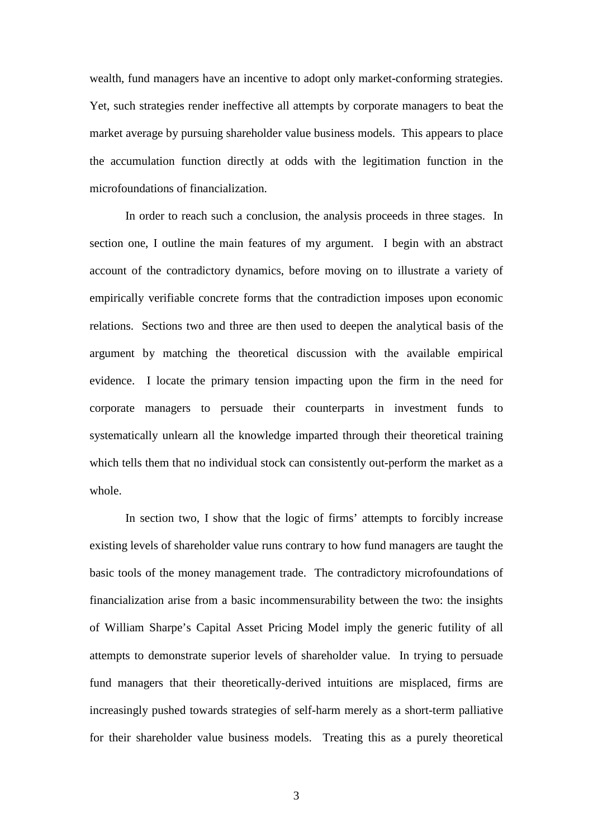wealth, fund managers have an incentive to adopt only market-conforming strategies. Yet, such strategies render ineffective all attempts by corporate managers to beat the market average by pursuing shareholder value business models. This appears to place the accumulation function directly at odds with the legitimation function in the microfoundations of financialization.

In order to reach such a conclusion, the analysis proceeds in three stages. In section one, I outline the main features of my argument. I begin with an abstract account of the contradictory dynamics, before moving on to illustrate a variety of empirically verifiable concrete forms that the contradiction imposes upon economic relations. Sections two and three are then used to deepen the analytical basis of the argument by matching the theoretical discussion with the available empirical evidence. I locate the primary tension impacting upon the firm in the need for corporate managers to persuade their counterparts in investment funds to systematically unlearn all the knowledge imparted through their theoretical training which tells them that no individual stock can consistently out-perform the market as a whole.

In section two, I show that the logic of firms' attempts to forcibly increase existing levels of shareholder value runs contrary to how fund managers are taught the basic tools of the money management trade. The contradictory microfoundations of financialization arise from a basic incommensurability between the two: the insights of William Sharpe's Capital Asset Pricing Model imply the generic futility of all attempts to demonstrate superior levels of shareholder value. In trying to persuade fund managers that their theoretically-derived intuitions are misplaced, firms are increasingly pushed towards strategies of self-harm merely as a short-term palliative for their shareholder value business models. Treating this as a purely theoretical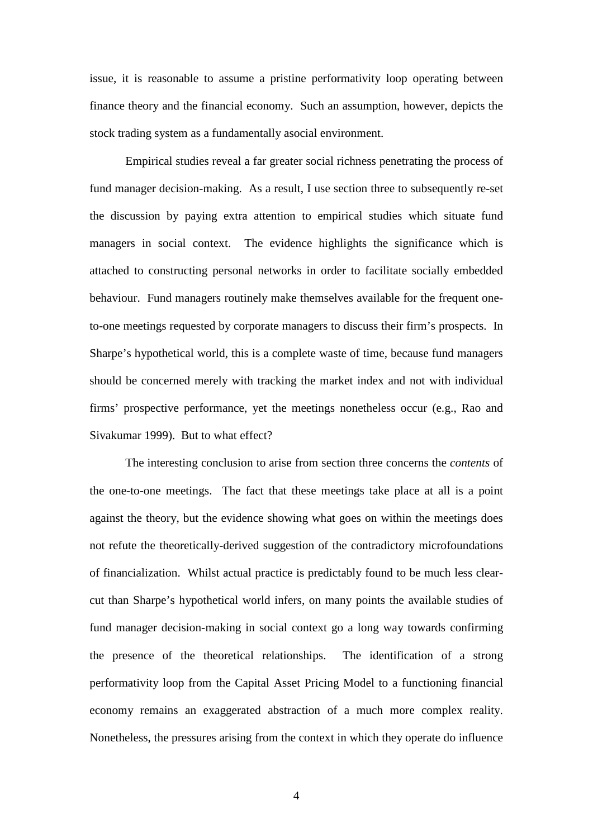issue, it is reasonable to assume a pristine performativity loop operating between finance theory and the financial economy. Such an assumption, however, depicts the stock trading system as a fundamentally asocial environment.

Empirical studies reveal a far greater social richness penetrating the process of fund manager decision-making. As a result, I use section three to subsequently re-set the discussion by paying extra attention to empirical studies which situate fund managers in social context. The evidence highlights the significance which is attached to constructing personal networks in order to facilitate socially embedded behaviour. Fund managers routinely make themselves available for the frequent oneto-one meetings requested by corporate managers to discuss their firm's prospects. In Sharpe's hypothetical world, this is a complete waste of time, because fund managers should be concerned merely with tracking the market index and not with individual firms' prospective performance, yet the meetings nonetheless occur (e.g., Rao and Sivakumar 1999). But to what effect?

The interesting conclusion to arise from section three concerns the *contents* of the one-to-one meetings. The fact that these meetings take place at all is a point against the theory, but the evidence showing what goes on within the meetings does not refute the theoretically-derived suggestion of the contradictory microfoundations of financialization. Whilst actual practice is predictably found to be much less clearcut than Sharpe's hypothetical world infers, on many points the available studies of fund manager decision-making in social context go a long way towards confirming the presence of the theoretical relationships. The identification of a strong performativity loop from the Capital Asset Pricing Model to a functioning financial economy remains an exaggerated abstraction of a much more complex reality. Nonetheless, the pressures arising from the context in which they operate do influence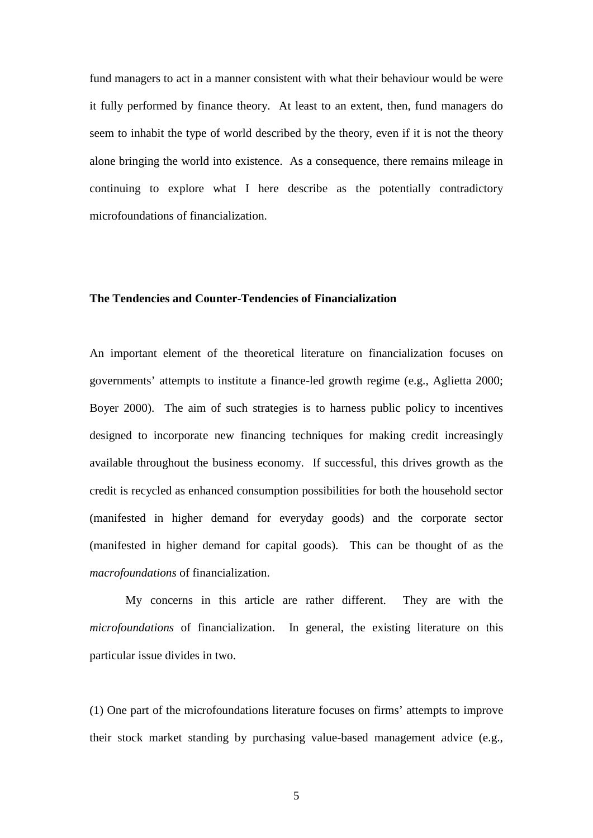fund managers to act in a manner consistent with what their behaviour would be were it fully performed by finance theory. At least to an extent, then, fund managers do seem to inhabit the type of world described by the theory, even if it is not the theory alone bringing the world into existence. As a consequence, there remains mileage in continuing to explore what I here describe as the potentially contradictory microfoundations of financialization.

## **The Tendencies and Counter-Tendencies of Financialization**

An important element of the theoretical literature on financialization focuses on governments' attempts to institute a finance-led growth regime (e.g., Aglietta 2000; Boyer 2000). The aim of such strategies is to harness public policy to incentives designed to incorporate new financing techniques for making credit increasingly available throughout the business economy. If successful, this drives growth as the credit is recycled as enhanced consumption possibilities for both the household sector (manifested in higher demand for everyday goods) and the corporate sector (manifested in higher demand for capital goods). This can be thought of as the *macrofoundations* of financialization.

My concerns in this article are rather different. They are with the *microfoundations* of financialization. In general, the existing literature on this particular issue divides in two.

(1) One part of the microfoundations literature focuses on firms' attempts to improve their stock market standing by purchasing value-based management advice (e.g.,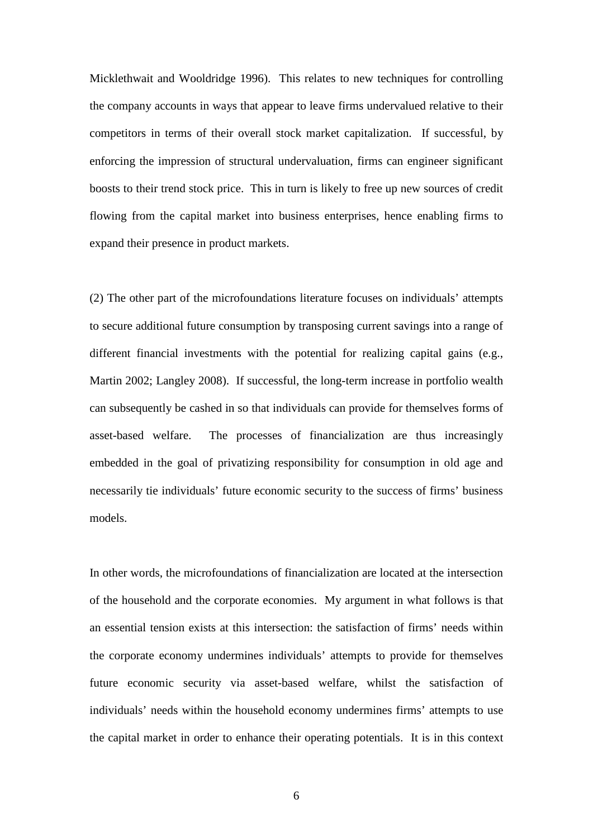Micklethwait and Wooldridge 1996). This relates to new techniques for controlling the company accounts in ways that appear to leave firms undervalued relative to their competitors in terms of their overall stock market capitalization. If successful, by enforcing the impression of structural undervaluation, firms can engineer significant boosts to their trend stock price. This in turn is likely to free up new sources of credit flowing from the capital market into business enterprises, hence enabling firms to expand their presence in product markets.

(2) The other part of the microfoundations literature focuses on individuals' attempts to secure additional future consumption by transposing current savings into a range of different financial investments with the potential for realizing capital gains (e.g., Martin 2002; Langley 2008). If successful, the long-term increase in portfolio wealth can subsequently be cashed in so that individuals can provide for themselves forms of asset-based welfare. The processes of financialization are thus increasingly embedded in the goal of privatizing responsibility for consumption in old age and necessarily tie individuals' future economic security to the success of firms' business models.

In other words, the microfoundations of financialization are located at the intersection of the household and the corporate economies. My argument in what follows is that an essential tension exists at this intersection: the satisfaction of firms' needs within the corporate economy undermines individuals' attempts to provide for themselves future economic security via asset-based welfare, whilst the satisfaction of individuals' needs within the household economy undermines firms' attempts to use the capital market in order to enhance their operating potentials. It is in this context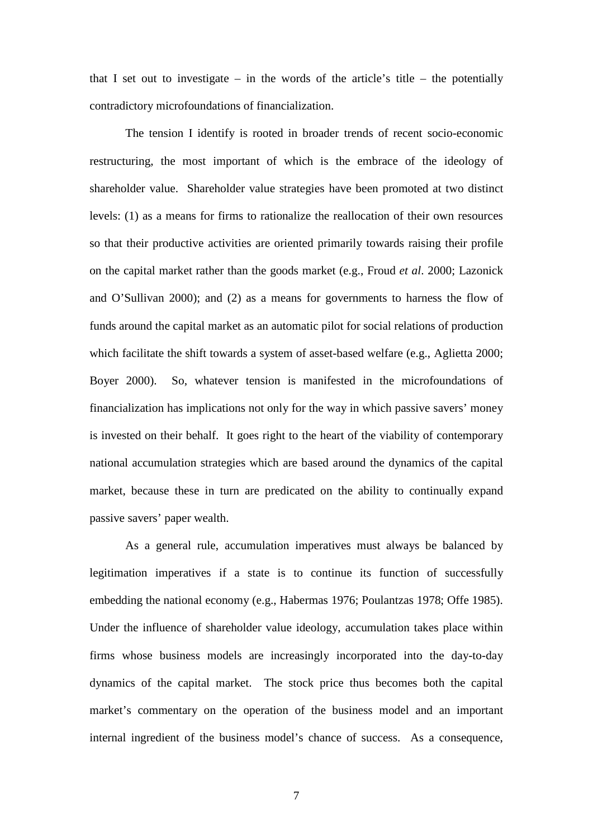that I set out to investigate – in the words of the article's title – the potentially contradictory microfoundations of financialization.

The tension I identify is rooted in broader trends of recent socio-economic restructuring, the most important of which is the embrace of the ideology of shareholder value. Shareholder value strategies have been promoted at two distinct levels: (1) as a means for firms to rationalize the reallocation of their own resources so that their productive activities are oriented primarily towards raising their profile on the capital market rather than the goods market (e.g., Froud *et al*. 2000; Lazonick and O'Sullivan 2000); and (2) as a means for governments to harness the flow of funds around the capital market as an automatic pilot for social relations of production which facilitate the shift towards a system of asset-based welfare (e.g., Aglietta 2000; Boyer 2000). So, whatever tension is manifested in the microfoundations of financialization has implications not only for the way in which passive savers' money is invested on their behalf. It goes right to the heart of the viability of contemporary national accumulation strategies which are based around the dynamics of the capital market, because these in turn are predicated on the ability to continually expand passive savers' paper wealth.

As a general rule, accumulation imperatives must always be balanced by legitimation imperatives if a state is to continue its function of successfully embedding the national economy (e.g., Habermas 1976; Poulantzas 1978; Offe 1985). Under the influence of shareholder value ideology, accumulation takes place within firms whose business models are increasingly incorporated into the day-to-day dynamics of the capital market. The stock price thus becomes both the capital market's commentary on the operation of the business model and an important internal ingredient of the business model's chance of success. As a consequence,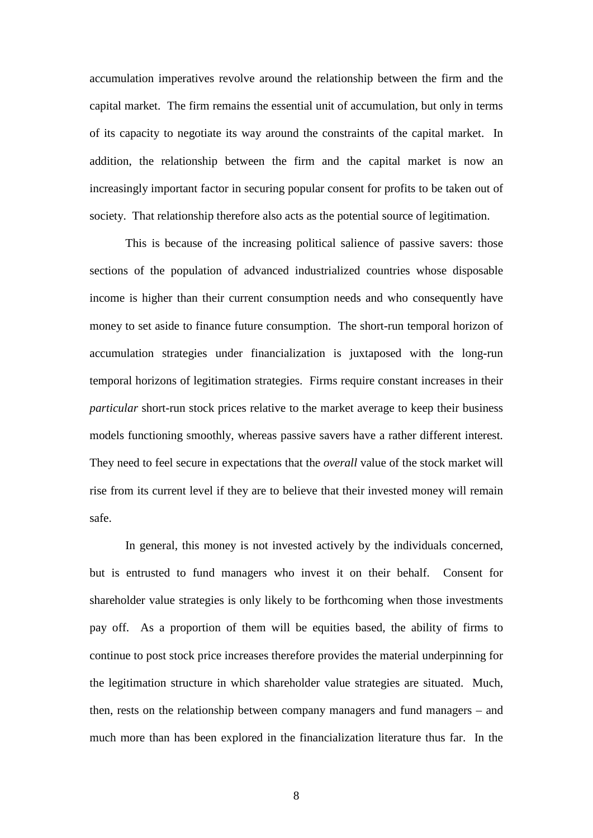accumulation imperatives revolve around the relationship between the firm and the capital market. The firm remains the essential unit of accumulation, but only in terms of its capacity to negotiate its way around the constraints of the capital market. In addition, the relationship between the firm and the capital market is now an increasingly important factor in securing popular consent for profits to be taken out of society. That relationship therefore also acts as the potential source of legitimation.

This is because of the increasing political salience of passive savers: those sections of the population of advanced industrialized countries whose disposable income is higher than their current consumption needs and who consequently have money to set aside to finance future consumption. The short-run temporal horizon of accumulation strategies under financialization is juxtaposed with the long-run temporal horizons of legitimation strategies. Firms require constant increases in their *particular* short-run stock prices relative to the market average to keep their business models functioning smoothly, whereas passive savers have a rather different interest. They need to feel secure in expectations that the *overall* value of the stock market will rise from its current level if they are to believe that their invested money will remain safe.

In general, this money is not invested actively by the individuals concerned, but is entrusted to fund managers who invest it on their behalf. Consent for shareholder value strategies is only likely to be forthcoming when those investments pay off. As a proportion of them will be equities based, the ability of firms to continue to post stock price increases therefore provides the material underpinning for the legitimation structure in which shareholder value strategies are situated. Much, then, rests on the relationship between company managers and fund managers – and much more than has been explored in the financialization literature thus far. In the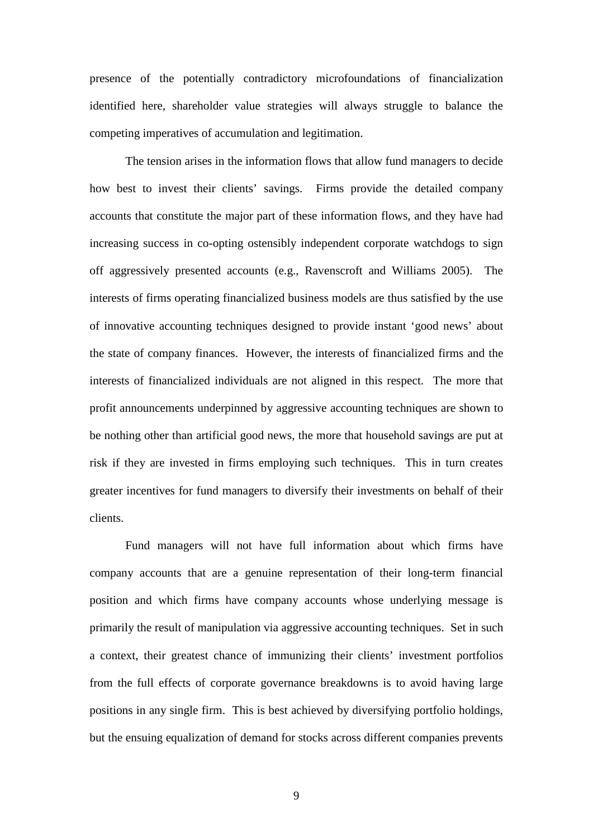presence of the potentially contradictory microfoundations of financialization identified here, shareholder value strategies will always struggle to balance the competing imperatives of accumulation and legitimation.

The tension arises in the information flows that allow fund managers to decide how best to invest their clients' savings. Firms provide the detailed company accounts that constitute the major part of these information flows, and they have had increasing success in co-opting ostensibly independent corporate watchdogs to sign off aggressively presented accounts (e.g., Ravenscroft and Williams 2005). The interests of firms operating financialized business models are thus satisfied by the use of innovative accounting techniques designed to provide instant 'good news' about the state of company finances. However, the interests of financialized firms and the interests of financialized individuals are not aligned in this respect. The more that profit announcements underpinned by aggressive accounting techniques are shown to be nothing other than artificial good news, the more that household savings are put at risk if they are invested in firms employing such techniques. This in turn creates greater incentives for fund managers to diversify their investments on behalf of their clients.

Fund managers will not have full information about which firms have company accounts that are a genuine representation of their long-term financial position and which firms have company accounts whose underlying message is primarily the result of manipulation via aggressive accounting techniques. Set in such a context, their greatest chance of immunizing their clients' investment portfolios from the full effects of corporate governance breakdowns is to avoid having large positions in any single firm. This is best achieved by diversifying portfolio holdings, but the ensuing equalization of demand for stocks across different companies prevents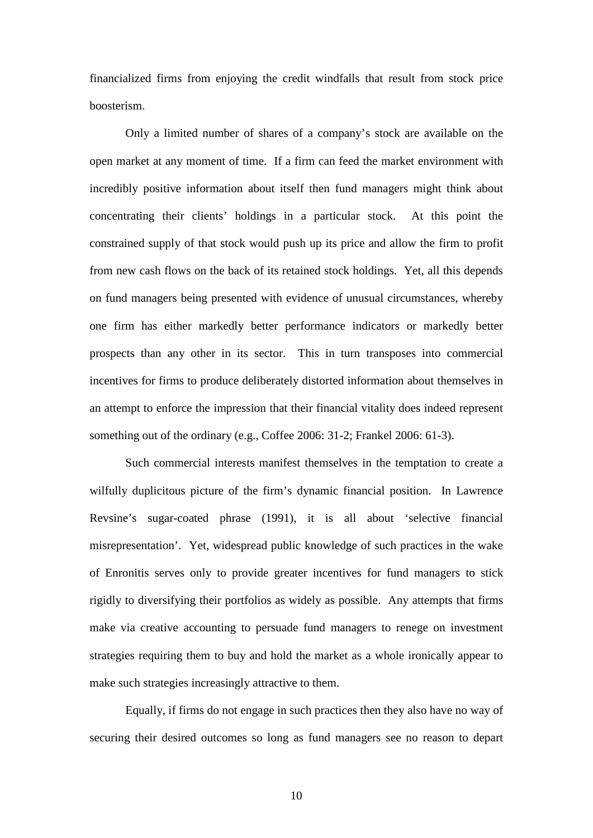financialized firms from enjoying the credit windfalls that result from stock price boosterism.

Only a limited number of shares of a company's stock are available on the open market at any moment of time. If a firm can feed the market environment with incredibly positive information about itself then fund managers might think about concentrating their clients' holdings in a particular stock. At this point the constrained supply of that stock would push up its price and allow the firm to profit from new cash flows on the back of its retained stock holdings. Yet, all this depends on fund managers being presented with evidence of unusual circumstances, whereby one firm has either markedly better performance indicators or markedly better prospects than any other in its sector. This in turn transposes into commercial incentives for firms to produce deliberately distorted information about themselves in an attempt to enforce the impression that their financial vitality does indeed represent something out of the ordinary (e.g., Coffee 2006: 31-2; Frankel 2006: 61-3).

Such commercial interests manifest themselves in the temptation to create a wilfully duplicitous picture of the firm's dynamic financial position. In Lawrence Revsine's sugar-coated phrase (1991), it is all about 'selective financial misrepresentation'. Yet, widespread public knowledge of such practices in the wake of Enronitis serves only to provide greater incentives for fund managers to stick rigidly to diversifying their portfolios as widely as possible. Any attempts that firms make via creative accounting to persuade fund managers to renege on investment strategies requiring them to buy and hold the market as a whole ironically appear to make such strategies increasingly attractive to them.

Equally, if firms do not engage in such practices then they also have no way of securing their desired outcomes so long as fund managers see no reason to depart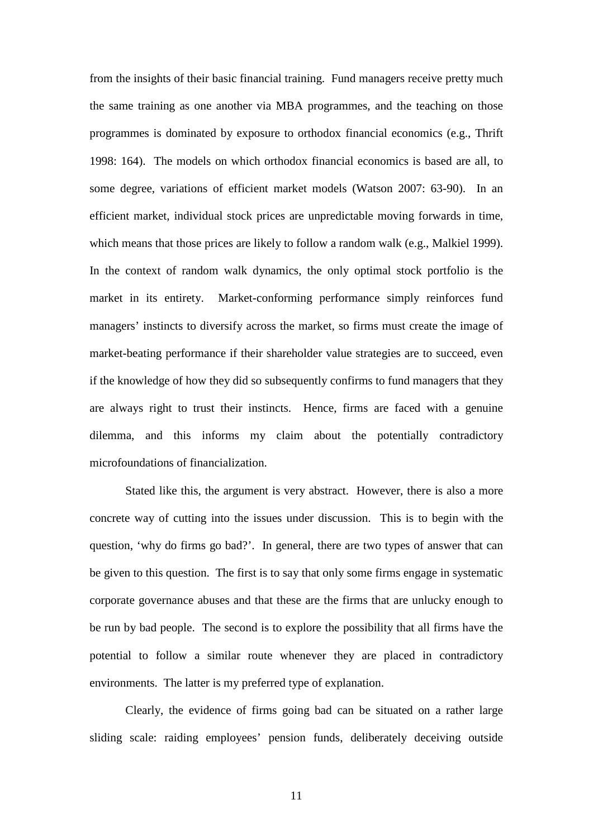from the insights of their basic financial training. Fund managers receive pretty much the same training as one another via MBA programmes, and the teaching on those programmes is dominated by exposure to orthodox financial economics (e.g., Thrift 1998: 164). The models on which orthodox financial economics is based are all, to some degree, variations of efficient market models (Watson 2007: 63-90). In an efficient market, individual stock prices are unpredictable moving forwards in time, which means that those prices are likely to follow a random walk (e.g., Malkiel 1999). In the context of random walk dynamics, the only optimal stock portfolio is the market in its entirety. Market-conforming performance simply reinforces fund managers' instincts to diversify across the market, so firms must create the image of market-beating performance if their shareholder value strategies are to succeed, even if the knowledge of how they did so subsequently confirms to fund managers that they are always right to trust their instincts. Hence, firms are faced with a genuine dilemma, and this informs my claim about the potentially contradictory microfoundations of financialization.

Stated like this, the argument is very abstract. However, there is also a more concrete way of cutting into the issues under discussion. This is to begin with the question, 'why do firms go bad?'. In general, there are two types of answer that can be given to this question. The first is to say that only some firms engage in systematic corporate governance abuses and that these are the firms that are unlucky enough to be run by bad people. The second is to explore the possibility that all firms have the potential to follow a similar route whenever they are placed in contradictory environments. The latter is my preferred type of explanation.

Clearly, the evidence of firms going bad can be situated on a rather large sliding scale: raiding employees' pension funds, deliberately deceiving outside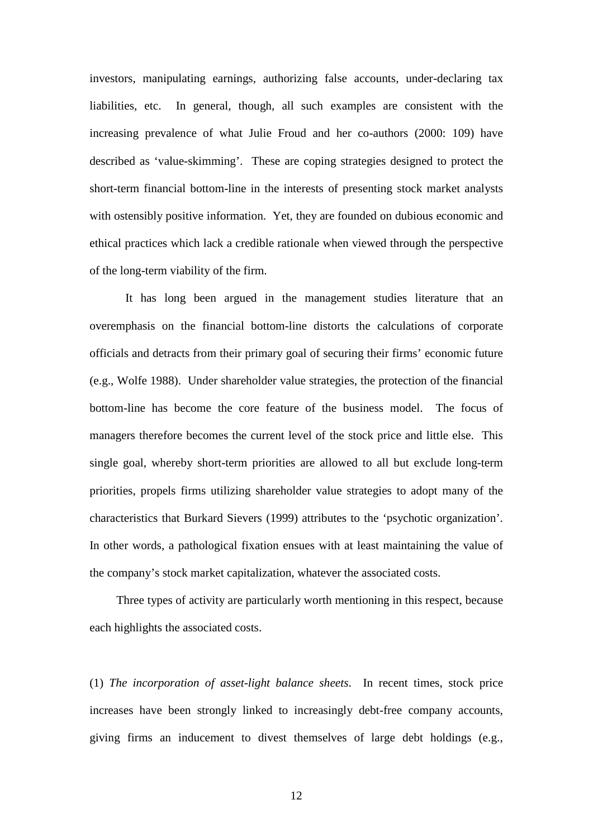investors, manipulating earnings, authorizing false accounts, under-declaring tax liabilities, etc. In general, though, all such examples are consistent with the increasing prevalence of what Julie Froud and her co-authors (2000: 109) have described as 'value-skimming'. These are coping strategies designed to protect the short-term financial bottom-line in the interests of presenting stock market analysts with ostensibly positive information. Yet, they are founded on dubious economic and ethical practices which lack a credible rationale when viewed through the perspective of the long-term viability of the firm.

It has long been argued in the management studies literature that an overemphasis on the financial bottom-line distorts the calculations of corporate officials and detracts from their primary goal of securing their firms' economic future (e.g., Wolfe 1988). Under shareholder value strategies, the protection of the financial bottom-line has become the core feature of the business model. The focus of managers therefore becomes the current level of the stock price and little else. This single goal, whereby short-term priorities are allowed to all but exclude long-term priorities, propels firms utilizing shareholder value strategies to adopt many of the characteristics that Burkard Sievers (1999) attributes to the 'psychotic organization'. In other words, a pathological fixation ensues with at least maintaining the value of the company's stock market capitalization, whatever the associated costs.

Three types of activity are particularly worth mentioning in this respect, because each highlights the associated costs.

(1) *The incorporation of asset-light balance sheets*. In recent times, stock price increases have been strongly linked to increasingly debt-free company accounts, giving firms an inducement to divest themselves of large debt holdings (e.g.,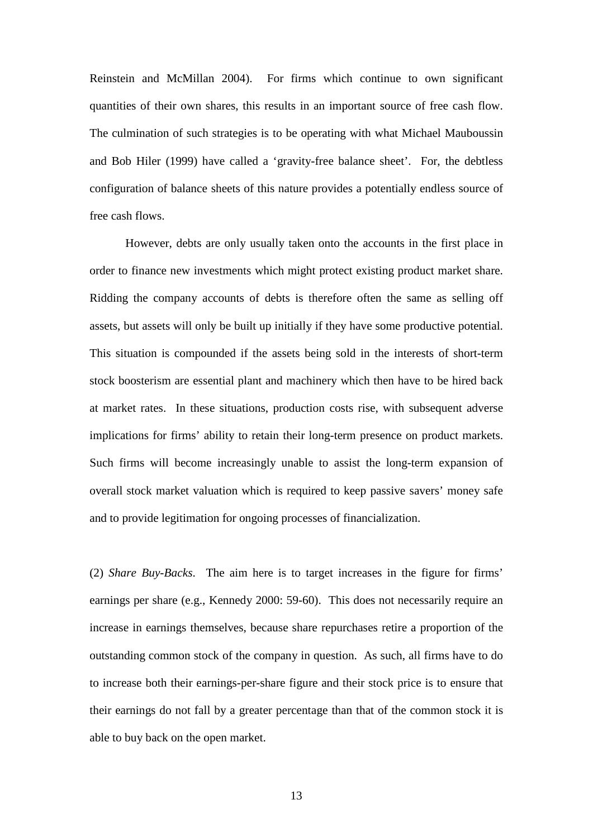Reinstein and McMillan 2004). For firms which continue to own significant quantities of their own shares, this results in an important source of free cash flow. The culmination of such strategies is to be operating with what Michael Mauboussin and Bob Hiler (1999) have called a 'gravity-free balance sheet'. For, the debtless configuration of balance sheets of this nature provides a potentially endless source of free cash flows.

However, debts are only usually taken onto the accounts in the first place in order to finance new investments which might protect existing product market share. Ridding the company accounts of debts is therefore often the same as selling off assets, but assets will only be built up initially if they have some productive potential. This situation is compounded if the assets being sold in the interests of short-term stock boosterism are essential plant and machinery which then have to be hired back at market rates. In these situations, production costs rise, with subsequent adverse implications for firms' ability to retain their long-term presence on product markets. Such firms will become increasingly unable to assist the long-term expansion of overall stock market valuation which is required to keep passive savers' money safe and to provide legitimation for ongoing processes of financialization.

(2) *Share Buy-Backs*. The aim here is to target increases in the figure for firms' earnings per share (e.g., Kennedy 2000: 59-60). This does not necessarily require an increase in earnings themselves, because share repurchases retire a proportion of the outstanding common stock of the company in question. As such, all firms have to do to increase both their earnings-per-share figure and their stock price is to ensure that their earnings do not fall by a greater percentage than that of the common stock it is able to buy back on the open market.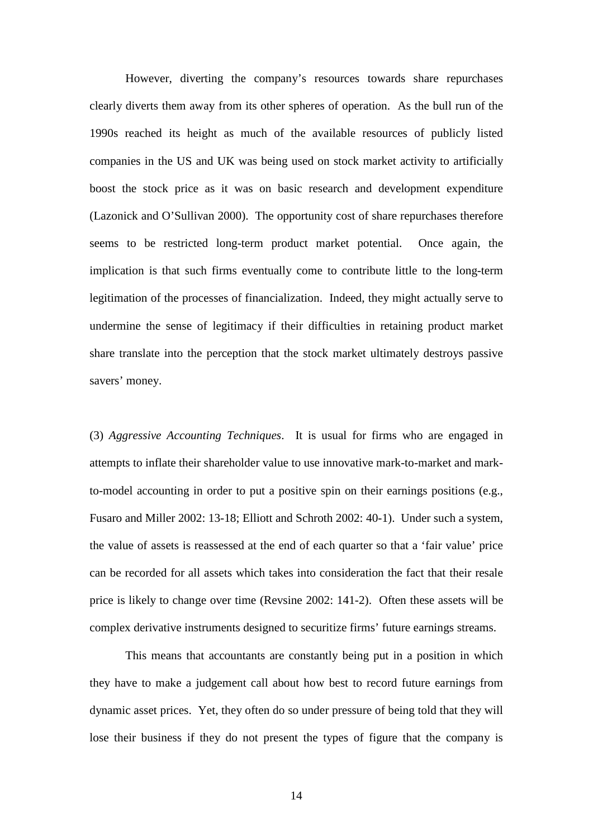However, diverting the company's resources towards share repurchases clearly diverts them away from its other spheres of operation. As the bull run of the 1990s reached its height as much of the available resources of publicly listed companies in the US and UK was being used on stock market activity to artificially boost the stock price as it was on basic research and development expenditure (Lazonick and O'Sullivan 2000). The opportunity cost of share repurchases therefore seems to be restricted long-term product market potential. Once again, the implication is that such firms eventually come to contribute little to the long-term legitimation of the processes of financialization. Indeed, they might actually serve to undermine the sense of legitimacy if their difficulties in retaining product market share translate into the perception that the stock market ultimately destroys passive savers' money.

(3) *Aggressive Accounting Techniques*. It is usual for firms who are engaged in attempts to inflate their shareholder value to use innovative mark-to-market and markto-model accounting in order to put a positive spin on their earnings positions (e.g., Fusaro and Miller 2002: 13-18; Elliott and Schroth 2002: 40-1). Under such a system, the value of assets is reassessed at the end of each quarter so that a 'fair value' price can be recorded for all assets which takes into consideration the fact that their resale price is likely to change over time (Revsine 2002: 141-2). Often these assets will be complex derivative instruments designed to securitize firms' future earnings streams.

This means that accountants are constantly being put in a position in which they have to make a judgement call about how best to record future earnings from dynamic asset prices. Yet, they often do so under pressure of being told that they will lose their business if they do not present the types of figure that the company is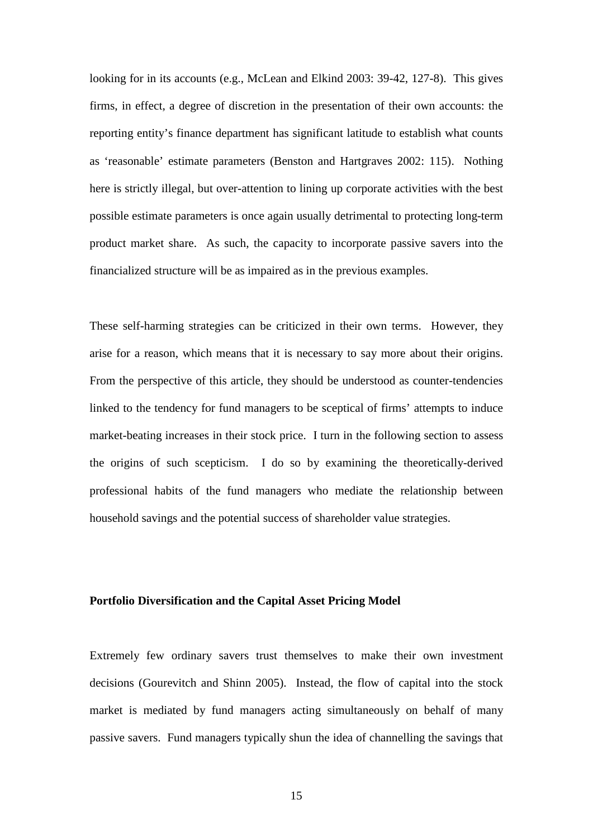looking for in its accounts (e.g., McLean and Elkind 2003: 39-42, 127-8). This gives firms, in effect, a degree of discretion in the presentation of their own accounts: the reporting entity's finance department has significant latitude to establish what counts as 'reasonable' estimate parameters (Benston and Hartgraves 2002: 115). Nothing here is strictly illegal, but over-attention to lining up corporate activities with the best possible estimate parameters is once again usually detrimental to protecting long-term product market share. As such, the capacity to incorporate passive savers into the financialized structure will be as impaired as in the previous examples.

These self-harming strategies can be criticized in their own terms. However, they arise for a reason, which means that it is necessary to say more about their origins. From the perspective of this article, they should be understood as counter-tendencies linked to the tendency for fund managers to be sceptical of firms' attempts to induce market-beating increases in their stock price. I turn in the following section to assess the origins of such scepticism. I do so by examining the theoretically-derived professional habits of the fund managers who mediate the relationship between household savings and the potential success of shareholder value strategies.

## **Portfolio Diversification and the Capital Asset Pricing Model**

Extremely few ordinary savers trust themselves to make their own investment decisions (Gourevitch and Shinn 2005). Instead, the flow of capital into the stock market is mediated by fund managers acting simultaneously on behalf of many passive savers. Fund managers typically shun the idea of channelling the savings that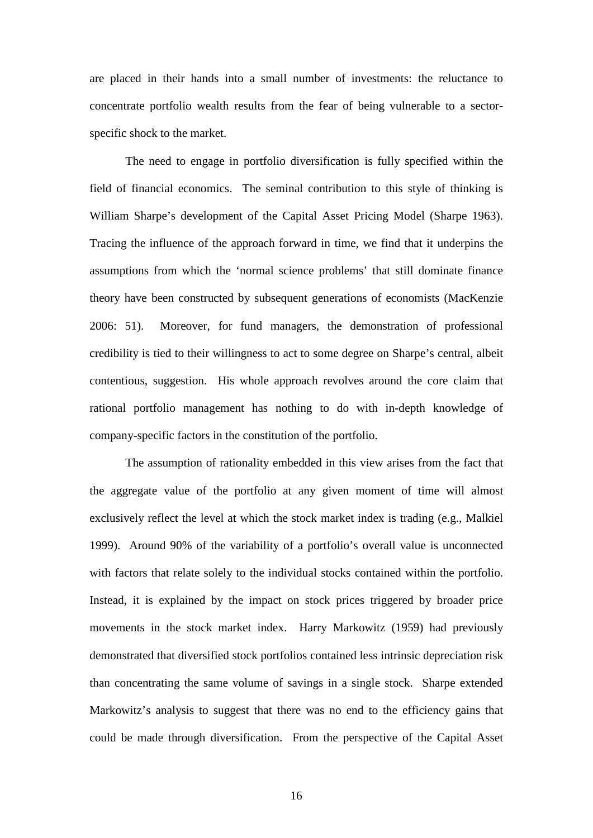are placed in their hands into a small number of investments: the reluctance to concentrate portfolio wealth results from the fear of being vulnerable to a sectorspecific shock to the market.

The need to engage in portfolio diversification is fully specified within the field of financial economics. The seminal contribution to this style of thinking is William Sharpe's development of the Capital Asset Pricing Model (Sharpe 1963). Tracing the influence of the approach forward in time, we find that it underpins the assumptions from which the 'normal science problems' that still dominate finance theory have been constructed by subsequent generations of economists (MacKenzie 2006: 51). Moreover, for fund managers, the demonstration of professional credibility is tied to their willingness to act to some degree on Sharpe's central, albeit contentious, suggestion. His whole approach revolves around the core claim that rational portfolio management has nothing to do with in-depth knowledge of company-specific factors in the constitution of the portfolio.

The assumption of rationality embedded in this view arises from the fact that the aggregate value of the portfolio at any given moment of time will almost exclusively reflect the level at which the stock market index is trading (e.g., Malkiel 1999). Around 90% of the variability of a portfolio's overall value is unconnected with factors that relate solely to the individual stocks contained within the portfolio. Instead, it is explained by the impact on stock prices triggered by broader price movements in the stock market index. Harry Markowitz (1959) had previously demonstrated that diversified stock portfolios contained less intrinsic depreciation risk than concentrating the same volume of savings in a single stock. Sharpe extended Markowitz's analysis to suggest that there was no end to the efficiency gains that could be made through diversification. From the perspective of the Capital Asset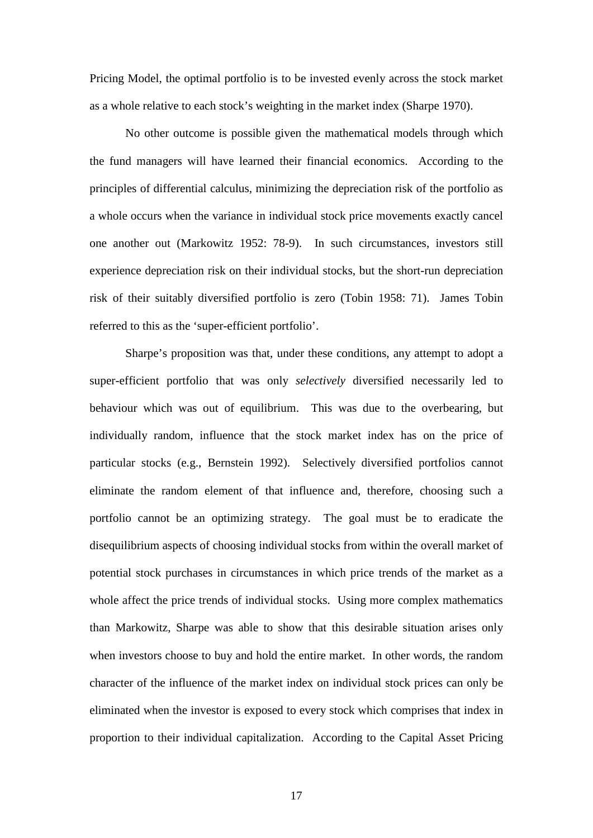Pricing Model, the optimal portfolio is to be invested evenly across the stock market as a whole relative to each stock's weighting in the market index (Sharpe 1970).

No other outcome is possible given the mathematical models through which the fund managers will have learned their financial economics. According to the principles of differential calculus, minimizing the depreciation risk of the portfolio as a whole occurs when the variance in individual stock price movements exactly cancel one another out (Markowitz 1952: 78-9). In such circumstances, investors still experience depreciation risk on their individual stocks, but the short-run depreciation risk of their suitably diversified portfolio is zero (Tobin 1958: 71). James Tobin referred to this as the 'super-efficient portfolio'.

Sharpe's proposition was that, under these conditions, any attempt to adopt a super-efficient portfolio that was only *selectively* diversified necessarily led to behaviour which was out of equilibrium. This was due to the overbearing, but individually random, influence that the stock market index has on the price of particular stocks (e.g., Bernstein 1992). Selectively diversified portfolios cannot eliminate the random element of that influence and, therefore, choosing such a portfolio cannot be an optimizing strategy. The goal must be to eradicate the disequilibrium aspects of choosing individual stocks from within the overall market of potential stock purchases in circumstances in which price trends of the market as a whole affect the price trends of individual stocks. Using more complex mathematics than Markowitz, Sharpe was able to show that this desirable situation arises only when investors choose to buy and hold the entire market. In other words, the random character of the influence of the market index on individual stock prices can only be eliminated when the investor is exposed to every stock which comprises that index in proportion to their individual capitalization. According to the Capital Asset Pricing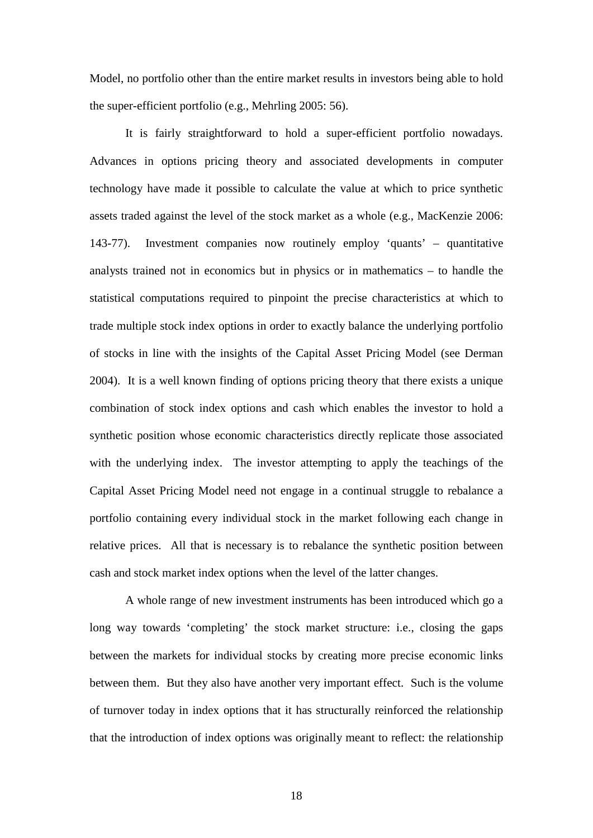Model, no portfolio other than the entire market results in investors being able to hold the super-efficient portfolio (e.g., Mehrling 2005: 56).

It is fairly straightforward to hold a super-efficient portfolio nowadays. Advances in options pricing theory and associated developments in computer technology have made it possible to calculate the value at which to price synthetic assets traded against the level of the stock market as a whole (e.g., MacKenzie 2006: 143-77). Investment companies now routinely employ 'quants' – quantitative analysts trained not in economics but in physics or in mathematics – to handle the statistical computations required to pinpoint the precise characteristics at which to trade multiple stock index options in order to exactly balance the underlying portfolio of stocks in line with the insights of the Capital Asset Pricing Model (see Derman 2004). It is a well known finding of options pricing theory that there exists a unique combination of stock index options and cash which enables the investor to hold a synthetic position whose economic characteristics directly replicate those associated with the underlying index. The investor attempting to apply the teachings of the Capital Asset Pricing Model need not engage in a continual struggle to rebalance a portfolio containing every individual stock in the market following each change in relative prices. All that is necessary is to rebalance the synthetic position between cash and stock market index options when the level of the latter changes.

A whole range of new investment instruments has been introduced which go a long way towards 'completing' the stock market structure: i.e., closing the gaps between the markets for individual stocks by creating more precise economic links between them. But they also have another very important effect. Such is the volume of turnover today in index options that it has structurally reinforced the relationship that the introduction of index options was originally meant to reflect: the relationship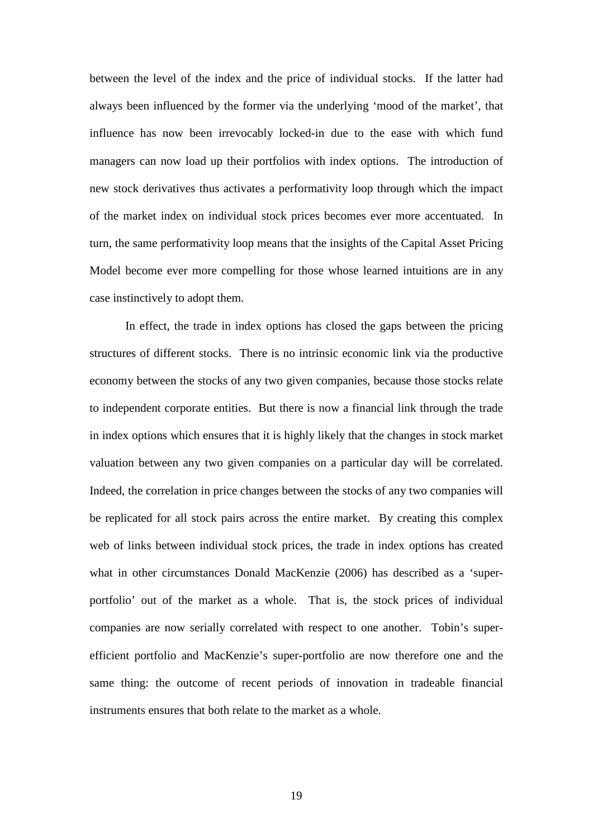between the level of the index and the price of individual stocks. If the latter had always been influenced by the former via the underlying 'mood of the market', that influence has now been irrevocably locked-in due to the ease with which fund managers can now load up their portfolios with index options. The introduction of new stock derivatives thus activates a performativity loop through which the impact of the market index on individual stock prices becomes ever more accentuated. In turn, the same performativity loop means that the insights of the Capital Asset Pricing Model become ever more compelling for those whose learned intuitions are in any case instinctively to adopt them.

In effect, the trade in index options has closed the gaps between the pricing structures of different stocks. There is no intrinsic economic link via the productive economy between the stocks of any two given companies, because those stocks relate to independent corporate entities. But there is now a financial link through the trade in index options which ensures that it is highly likely that the changes in stock market valuation between any two given companies on a particular day will be correlated. Indeed, the correlation in price changes between the stocks of any two companies will be replicated for all stock pairs across the entire market. By creating this complex web of links between individual stock prices, the trade in index options has created what in other circumstances Donald MacKenzie (2006) has described as a 'superportfolio' out of the market as a whole. That is, the stock prices of individual companies are now serially correlated with respect to one another. Tobin's superefficient portfolio and MacKenzie's super-portfolio are now therefore one and the same thing: the outcome of recent periods of innovation in tradeable financial instruments ensures that both relate to the market as a whole.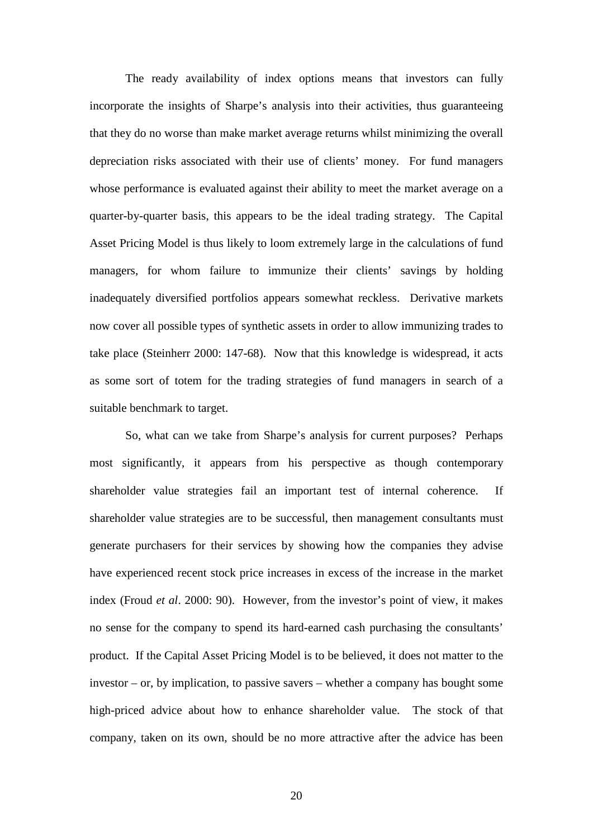The ready availability of index options means that investors can fully incorporate the insights of Sharpe's analysis into their activities, thus guaranteeing that they do no worse than make market average returns whilst minimizing the overall depreciation risks associated with their use of clients' money. For fund managers whose performance is evaluated against their ability to meet the market average on a quarter-by-quarter basis, this appears to be the ideal trading strategy. The Capital Asset Pricing Model is thus likely to loom extremely large in the calculations of fund managers, for whom failure to immunize their clients' savings by holding inadequately diversified portfolios appears somewhat reckless. Derivative markets now cover all possible types of synthetic assets in order to allow immunizing trades to take place (Steinherr 2000: 147-68). Now that this knowledge is widespread, it acts as some sort of totem for the trading strategies of fund managers in search of a suitable benchmark to target.

So, what can we take from Sharpe's analysis for current purposes? Perhaps most significantly, it appears from his perspective as though contemporary shareholder value strategies fail an important test of internal coherence. If shareholder value strategies are to be successful, then management consultants must generate purchasers for their services by showing how the companies they advise have experienced recent stock price increases in excess of the increase in the market index (Froud *et al*. 2000: 90). However, from the investor's point of view, it makes no sense for the company to spend its hard-earned cash purchasing the consultants' product. If the Capital Asset Pricing Model is to be believed, it does not matter to the investor – or, by implication, to passive savers – whether a company has bought some high-priced advice about how to enhance shareholder value. The stock of that company, taken on its own, should be no more attractive after the advice has been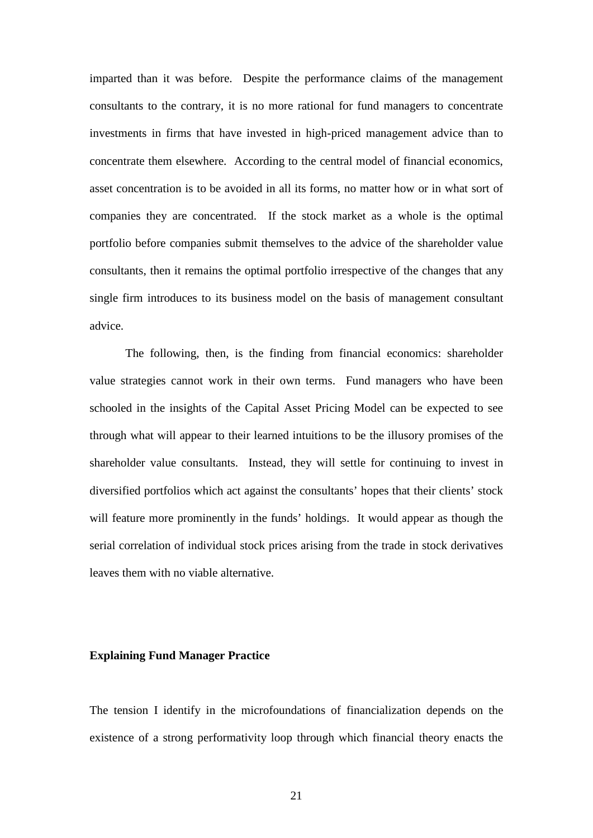imparted than it was before. Despite the performance claims of the management consultants to the contrary, it is no more rational for fund managers to concentrate investments in firms that have invested in high-priced management advice than to concentrate them elsewhere. According to the central model of financial economics, asset concentration is to be avoided in all its forms, no matter how or in what sort of companies they are concentrated. If the stock market as a whole is the optimal portfolio before companies submit themselves to the advice of the shareholder value consultants, then it remains the optimal portfolio irrespective of the changes that any single firm introduces to its business model on the basis of management consultant advice.

The following, then, is the finding from financial economics: shareholder value strategies cannot work in their own terms. Fund managers who have been schooled in the insights of the Capital Asset Pricing Model can be expected to see through what will appear to their learned intuitions to be the illusory promises of the shareholder value consultants. Instead, they will settle for continuing to invest in diversified portfolios which act against the consultants' hopes that their clients' stock will feature more prominently in the funds' holdings. It would appear as though the serial correlation of individual stock prices arising from the trade in stock derivatives leaves them with no viable alternative.

#### **Explaining Fund Manager Practice**

The tension I identify in the microfoundations of financialization depends on the existence of a strong performativity loop through which financial theory enacts the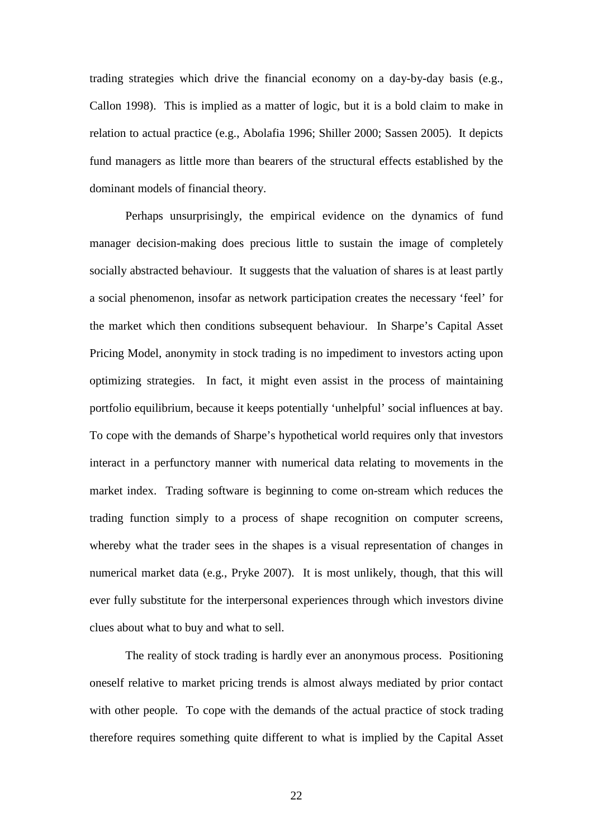trading strategies which drive the financial economy on a day-by-day basis (e.g., Callon 1998). This is implied as a matter of logic, but it is a bold claim to make in relation to actual practice (e.g., Abolafia 1996; Shiller 2000; Sassen 2005). It depicts fund managers as little more than bearers of the structural effects established by the dominant models of financial theory.

Perhaps unsurprisingly, the empirical evidence on the dynamics of fund manager decision-making does precious little to sustain the image of completely socially abstracted behaviour. It suggests that the valuation of shares is at least partly a social phenomenon, insofar as network participation creates the necessary 'feel' for the market which then conditions subsequent behaviour. In Sharpe's Capital Asset Pricing Model, anonymity in stock trading is no impediment to investors acting upon optimizing strategies. In fact, it might even assist in the process of maintaining portfolio equilibrium, because it keeps potentially 'unhelpful' social influences at bay. To cope with the demands of Sharpe's hypothetical world requires only that investors interact in a perfunctory manner with numerical data relating to movements in the market index. Trading software is beginning to come on-stream which reduces the trading function simply to a process of shape recognition on computer screens, whereby what the trader sees in the shapes is a visual representation of changes in numerical market data (e.g., Pryke 2007). It is most unlikely, though, that this will ever fully substitute for the interpersonal experiences through which investors divine clues about what to buy and what to sell.

The reality of stock trading is hardly ever an anonymous process. Positioning oneself relative to market pricing trends is almost always mediated by prior contact with other people. To cope with the demands of the actual practice of stock trading therefore requires something quite different to what is implied by the Capital Asset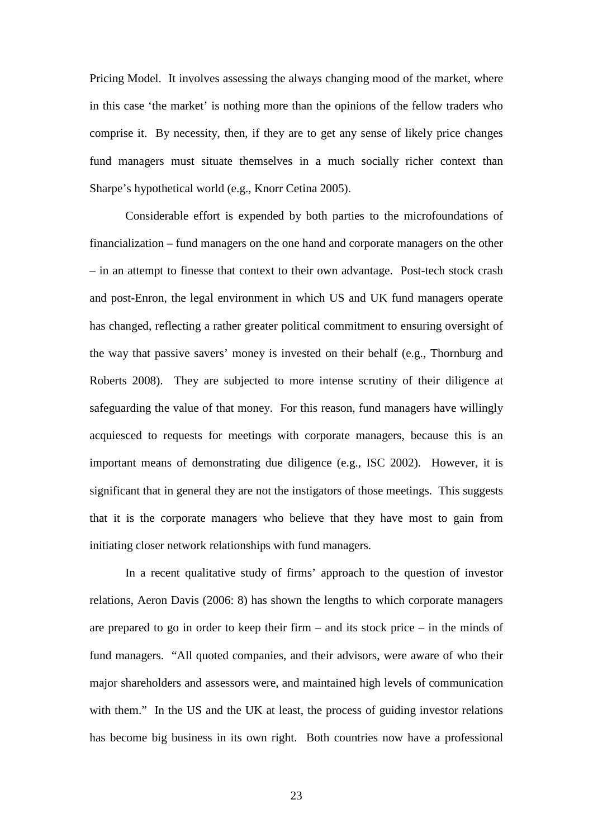Pricing Model. It involves assessing the always changing mood of the market, where in this case 'the market' is nothing more than the opinions of the fellow traders who comprise it. By necessity, then, if they are to get any sense of likely price changes fund managers must situate themselves in a much socially richer context than Sharpe's hypothetical world (e.g., Knorr Cetina 2005).

Considerable effort is expended by both parties to the microfoundations of financialization – fund managers on the one hand and corporate managers on the other – in an attempt to finesse that context to their own advantage. Post-tech stock crash and post-Enron, the legal environment in which US and UK fund managers operate has changed, reflecting a rather greater political commitment to ensuring oversight of the way that passive savers' money is invested on their behalf (e.g., Thornburg and Roberts 2008). They are subjected to more intense scrutiny of their diligence at safeguarding the value of that money. For this reason, fund managers have willingly acquiesced to requests for meetings with corporate managers, because this is an important means of demonstrating due diligence (e.g., ISC 2002). However, it is significant that in general they are not the instigators of those meetings. This suggests that it is the corporate managers who believe that they have most to gain from initiating closer network relationships with fund managers.

In a recent qualitative study of firms' approach to the question of investor relations, Aeron Davis (2006: 8) has shown the lengths to which corporate managers are prepared to go in order to keep their firm – and its stock price – in the minds of fund managers. "All quoted companies, and their advisors, were aware of who their major shareholders and assessors were, and maintained high levels of communication with them." In the US and the UK at least, the process of guiding investor relations has become big business in its own right. Both countries now have a professional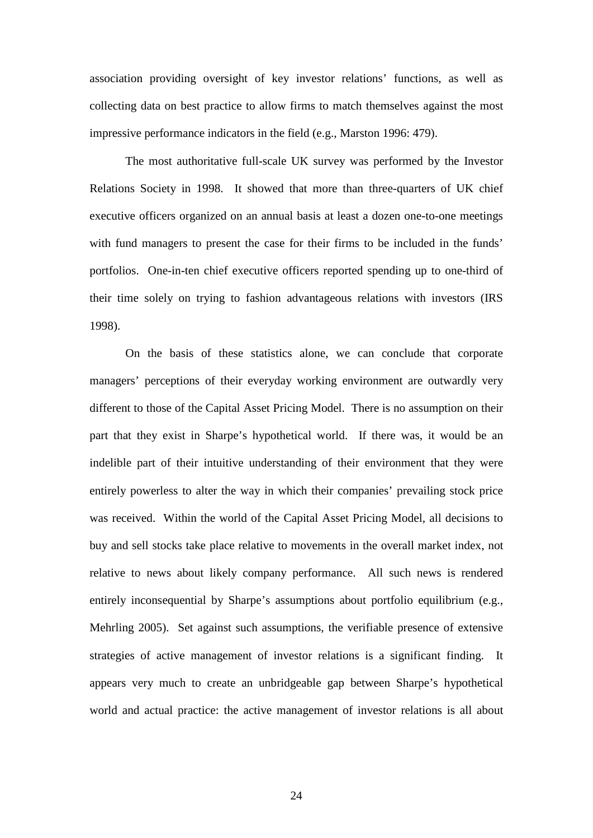association providing oversight of key investor relations' functions, as well as collecting data on best practice to allow firms to match themselves against the most impressive performance indicators in the field (e.g., Marston 1996: 479).

The most authoritative full-scale UK survey was performed by the Investor Relations Society in 1998. It showed that more than three-quarters of UK chief executive officers organized on an annual basis at least a dozen one-to-one meetings with fund managers to present the case for their firms to be included in the funds' portfolios. One-in-ten chief executive officers reported spending up to one-third of their time solely on trying to fashion advantageous relations with investors (IRS 1998).

On the basis of these statistics alone, we can conclude that corporate managers' perceptions of their everyday working environment are outwardly very different to those of the Capital Asset Pricing Model. There is no assumption on their part that they exist in Sharpe's hypothetical world. If there was, it would be an indelible part of their intuitive understanding of their environment that they were entirely powerless to alter the way in which their companies' prevailing stock price was received. Within the world of the Capital Asset Pricing Model, all decisions to buy and sell stocks take place relative to movements in the overall market index, not relative to news about likely company performance. All such news is rendered entirely inconsequential by Sharpe's assumptions about portfolio equilibrium (e.g., Mehrling 2005). Set against such assumptions, the verifiable presence of extensive strategies of active management of investor relations is a significant finding. It appears very much to create an unbridgeable gap between Sharpe's hypothetical world and actual practice: the active management of investor relations is all about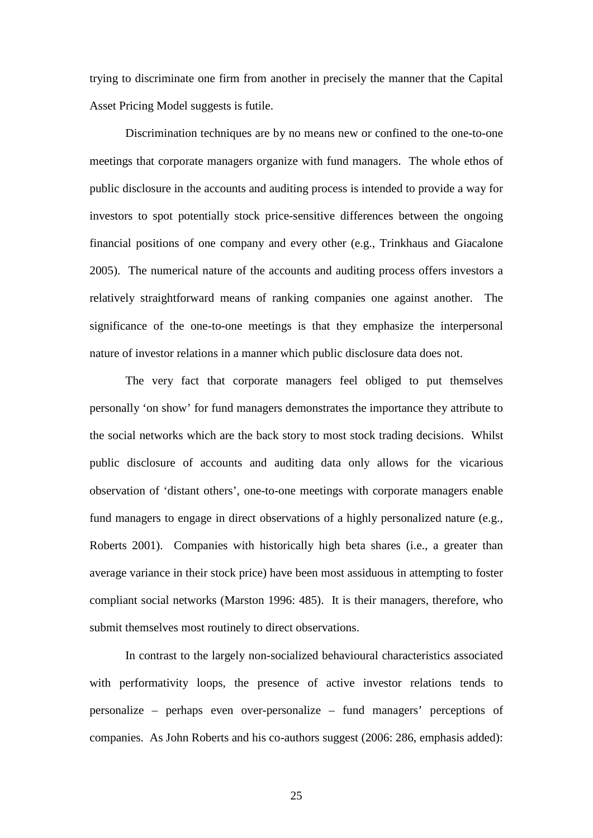trying to discriminate one firm from another in precisely the manner that the Capital Asset Pricing Model suggests is futile.

Discrimination techniques are by no means new or confined to the one-to-one meetings that corporate managers organize with fund managers. The whole ethos of public disclosure in the accounts and auditing process is intended to provide a way for investors to spot potentially stock price-sensitive differences between the ongoing financial positions of one company and every other (e.g., Trinkhaus and Giacalone 2005). The numerical nature of the accounts and auditing process offers investors a relatively straightforward means of ranking companies one against another. The significance of the one-to-one meetings is that they emphasize the interpersonal nature of investor relations in a manner which public disclosure data does not.

The very fact that corporate managers feel obliged to put themselves personally 'on show' for fund managers demonstrates the importance they attribute to the social networks which are the back story to most stock trading decisions. Whilst public disclosure of accounts and auditing data only allows for the vicarious observation of 'distant others', one-to-one meetings with corporate managers enable fund managers to engage in direct observations of a highly personalized nature (e.g., Roberts 2001). Companies with historically high beta shares (i.e., a greater than average variance in their stock price) have been most assiduous in attempting to foster compliant social networks (Marston 1996: 485). It is their managers, therefore, who submit themselves most routinely to direct observations.

In contrast to the largely non-socialized behavioural characteristics associated with performativity loops, the presence of active investor relations tends to personalize – perhaps even over-personalize – fund managers' perceptions of companies. As John Roberts and his co-authors suggest (2006: 286, emphasis added):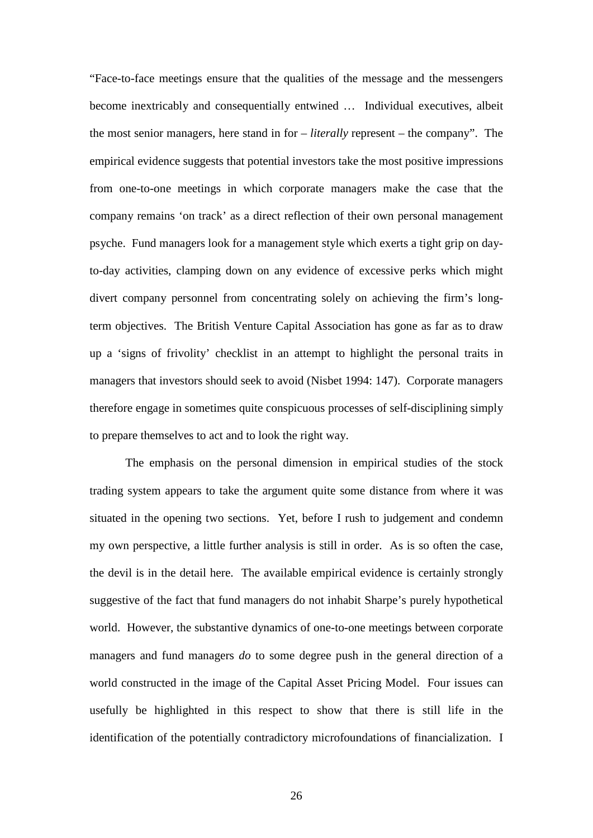"Face-to-face meetings ensure that the qualities of the message and the messengers become inextricably and consequentially entwined … Individual executives, albeit the most senior managers, here stand in for – *literally* represent – the company". The empirical evidence suggests that potential investors take the most positive impressions from one-to-one meetings in which corporate managers make the case that the company remains 'on track' as a direct reflection of their own personal management psyche. Fund managers look for a management style which exerts a tight grip on dayto-day activities, clamping down on any evidence of excessive perks which might divert company personnel from concentrating solely on achieving the firm's longterm objectives. The British Venture Capital Association has gone as far as to draw up a 'signs of frivolity' checklist in an attempt to highlight the personal traits in managers that investors should seek to avoid (Nisbet 1994: 147). Corporate managers therefore engage in sometimes quite conspicuous processes of self-disciplining simply to prepare themselves to act and to look the right way.

The emphasis on the personal dimension in empirical studies of the stock trading system appears to take the argument quite some distance from where it was situated in the opening two sections. Yet, before I rush to judgement and condemn my own perspective, a little further analysis is still in order. As is so often the case, the devil is in the detail here. The available empirical evidence is certainly strongly suggestive of the fact that fund managers do not inhabit Sharpe's purely hypothetical world. However, the substantive dynamics of one-to-one meetings between corporate managers and fund managers *do* to some degree push in the general direction of a world constructed in the image of the Capital Asset Pricing Model. Four issues can usefully be highlighted in this respect to show that there is still life in the identification of the potentially contradictory microfoundations of financialization. I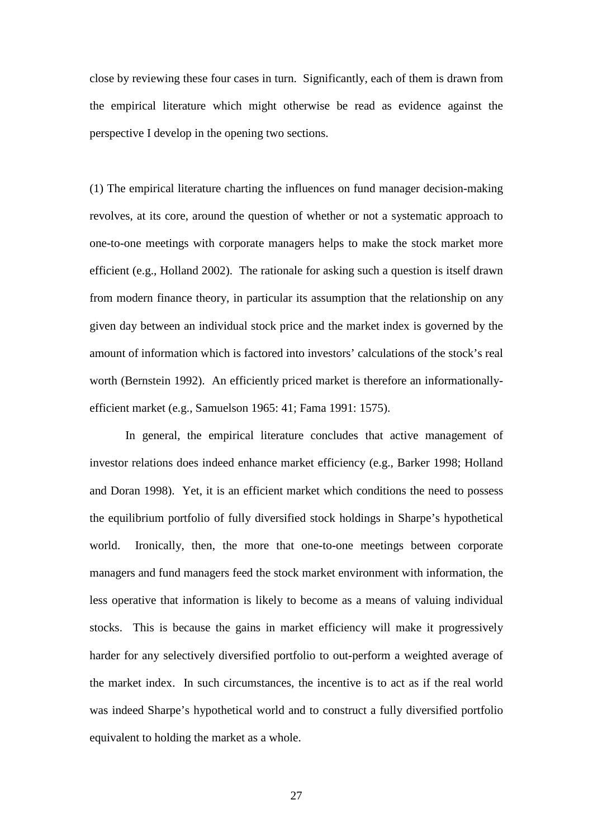close by reviewing these four cases in turn. Significantly, each of them is drawn from the empirical literature which might otherwise be read as evidence against the perspective I develop in the opening two sections.

(1) The empirical literature charting the influences on fund manager decision-making revolves, at its core, around the question of whether or not a systematic approach to one-to-one meetings with corporate managers helps to make the stock market more efficient (e.g., Holland 2002). The rationale for asking such a question is itself drawn from modern finance theory, in particular its assumption that the relationship on any given day between an individual stock price and the market index is governed by the amount of information which is factored into investors' calculations of the stock's real worth (Bernstein 1992). An efficiently priced market is therefore an informationallyefficient market (e.g., Samuelson 1965: 41; Fama 1991: 1575).

In general, the empirical literature concludes that active management of investor relations does indeed enhance market efficiency (e.g., Barker 1998; Holland and Doran 1998). Yet, it is an efficient market which conditions the need to possess the equilibrium portfolio of fully diversified stock holdings in Sharpe's hypothetical world. Ironically, then, the more that one-to-one meetings between corporate managers and fund managers feed the stock market environment with information, the less operative that information is likely to become as a means of valuing individual stocks. This is because the gains in market efficiency will make it progressively harder for any selectively diversified portfolio to out-perform a weighted average of the market index. In such circumstances, the incentive is to act as if the real world was indeed Sharpe's hypothetical world and to construct a fully diversified portfolio equivalent to holding the market as a whole.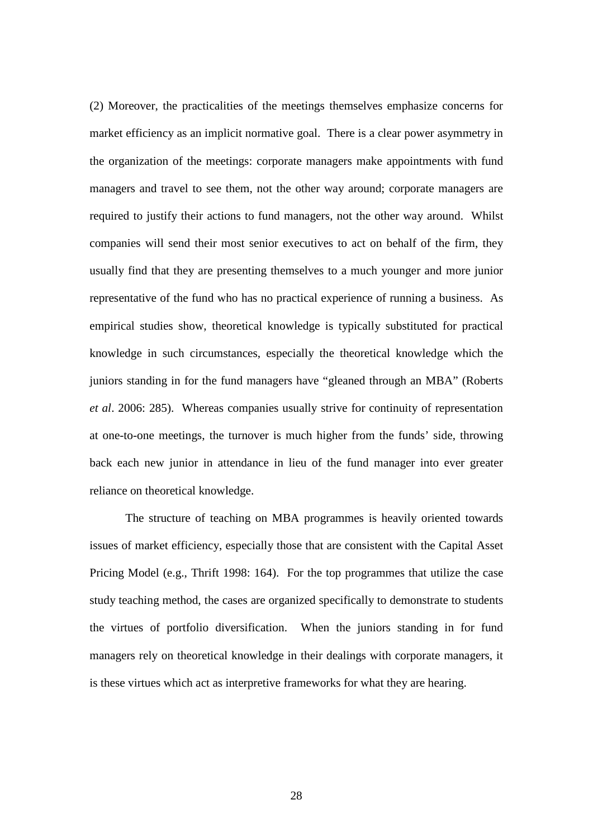(2) Moreover, the practicalities of the meetings themselves emphasize concerns for market efficiency as an implicit normative goal. There is a clear power asymmetry in the organization of the meetings: corporate managers make appointments with fund managers and travel to see them, not the other way around; corporate managers are required to justify their actions to fund managers, not the other way around. Whilst companies will send their most senior executives to act on behalf of the firm, they usually find that they are presenting themselves to a much younger and more junior representative of the fund who has no practical experience of running a business. As empirical studies show, theoretical knowledge is typically substituted for practical knowledge in such circumstances, especially the theoretical knowledge which the juniors standing in for the fund managers have "gleaned through an MBA" (Roberts *et al*. 2006: 285). Whereas companies usually strive for continuity of representation at one-to-one meetings, the turnover is much higher from the funds' side, throwing back each new junior in attendance in lieu of the fund manager into ever greater reliance on theoretical knowledge.

The structure of teaching on MBA programmes is heavily oriented towards issues of market efficiency, especially those that are consistent with the Capital Asset Pricing Model (e.g., Thrift 1998: 164). For the top programmes that utilize the case study teaching method, the cases are organized specifically to demonstrate to students the virtues of portfolio diversification. When the juniors standing in for fund managers rely on theoretical knowledge in their dealings with corporate managers, it is these virtues which act as interpretive frameworks for what they are hearing.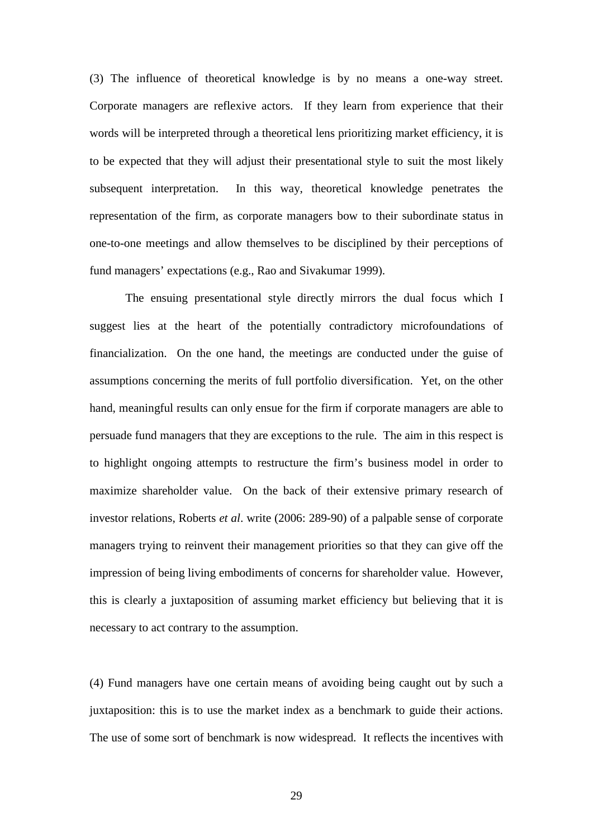(3) The influence of theoretical knowledge is by no means a one-way street. Corporate managers are reflexive actors. If they learn from experience that their words will be interpreted through a theoretical lens prioritizing market efficiency, it is to be expected that they will adjust their presentational style to suit the most likely subsequent interpretation. In this way, theoretical knowledge penetrates the representation of the firm, as corporate managers bow to their subordinate status in one-to-one meetings and allow themselves to be disciplined by their perceptions of fund managers' expectations (e.g., Rao and Sivakumar 1999).

The ensuing presentational style directly mirrors the dual focus which I suggest lies at the heart of the potentially contradictory microfoundations of financialization. On the one hand, the meetings are conducted under the guise of assumptions concerning the merits of full portfolio diversification. Yet, on the other hand, meaningful results can only ensue for the firm if corporate managers are able to persuade fund managers that they are exceptions to the rule. The aim in this respect is to highlight ongoing attempts to restructure the firm's business model in order to maximize shareholder value. On the back of their extensive primary research of investor relations, Roberts *et al*. write (2006: 289-90) of a palpable sense of corporate managers trying to reinvent their management priorities so that they can give off the impression of being living embodiments of concerns for shareholder value. However, this is clearly a juxtaposition of assuming market efficiency but believing that it is necessary to act contrary to the assumption.

(4) Fund managers have one certain means of avoiding being caught out by such a juxtaposition: this is to use the market index as a benchmark to guide their actions. The use of some sort of benchmark is now widespread. It reflects the incentives with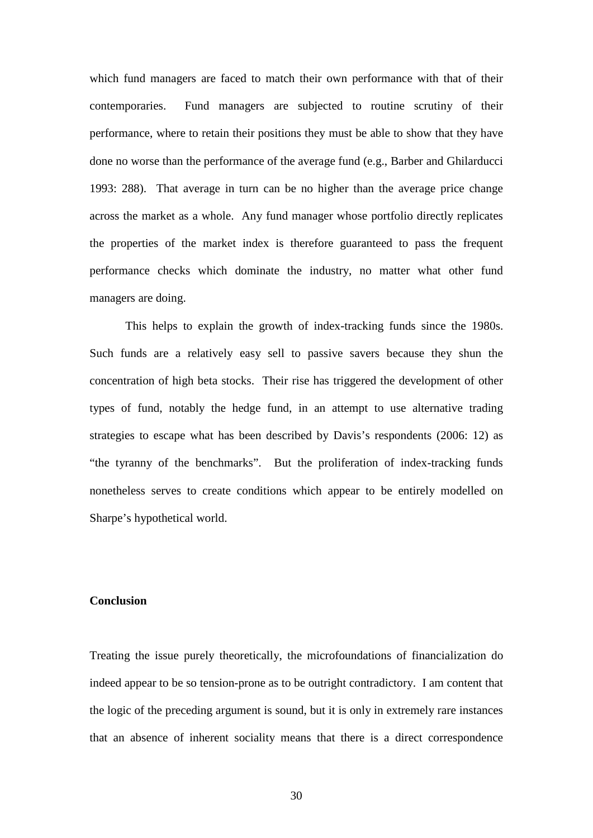which fund managers are faced to match their own performance with that of their contemporaries. Fund managers are subjected to routine scrutiny of their performance, where to retain their positions they must be able to show that they have done no worse than the performance of the average fund (e.g., Barber and Ghilarducci 1993: 288). That average in turn can be no higher than the average price change across the market as a whole. Any fund manager whose portfolio directly replicates the properties of the market index is therefore guaranteed to pass the frequent performance checks which dominate the industry, no matter what other fund managers are doing.

This helps to explain the growth of index-tracking funds since the 1980s. Such funds are a relatively easy sell to passive savers because they shun the concentration of high beta stocks. Their rise has triggered the development of other types of fund, notably the hedge fund, in an attempt to use alternative trading strategies to escape what has been described by Davis's respondents (2006: 12) as "the tyranny of the benchmarks". But the proliferation of index-tracking funds nonetheless serves to create conditions which appear to be entirely modelled on Sharpe's hypothetical world.

## **Conclusion**

Treating the issue purely theoretically, the microfoundations of financialization do indeed appear to be so tension-prone as to be outright contradictory. I am content that the logic of the preceding argument is sound, but it is only in extremely rare instances that an absence of inherent sociality means that there is a direct correspondence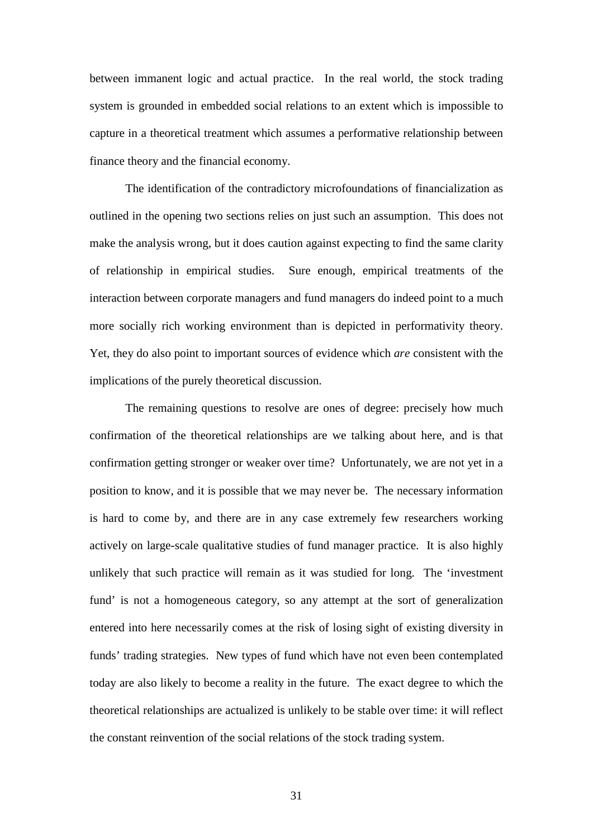between immanent logic and actual practice. In the real world, the stock trading system is grounded in embedded social relations to an extent which is impossible to capture in a theoretical treatment which assumes a performative relationship between finance theory and the financial economy.

The identification of the contradictory microfoundations of financialization as outlined in the opening two sections relies on just such an assumption. This does not make the analysis wrong, but it does caution against expecting to find the same clarity of relationship in empirical studies. Sure enough, empirical treatments of the interaction between corporate managers and fund managers do indeed point to a much more socially rich working environment than is depicted in performativity theory. Yet, they do also point to important sources of evidence which *are* consistent with the implications of the purely theoretical discussion.

The remaining questions to resolve are ones of degree: precisely how much confirmation of the theoretical relationships are we talking about here, and is that confirmation getting stronger or weaker over time? Unfortunately, we are not yet in a position to know, and it is possible that we may never be. The necessary information is hard to come by, and there are in any case extremely few researchers working actively on large-scale qualitative studies of fund manager practice. It is also highly unlikely that such practice will remain as it was studied for long. The 'investment fund' is not a homogeneous category, so any attempt at the sort of generalization entered into here necessarily comes at the risk of losing sight of existing diversity in funds' trading strategies. New types of fund which have not even been contemplated today are also likely to become a reality in the future. The exact degree to which the theoretical relationships are actualized is unlikely to be stable over time: it will reflect the constant reinvention of the social relations of the stock trading system.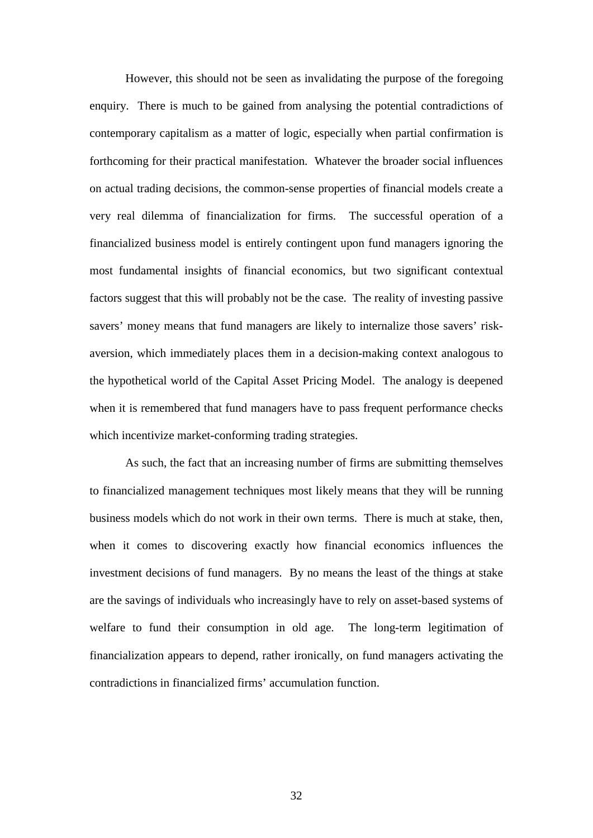However, this should not be seen as invalidating the purpose of the foregoing enquiry. There is much to be gained from analysing the potential contradictions of contemporary capitalism as a matter of logic, especially when partial confirmation is forthcoming for their practical manifestation. Whatever the broader social influences on actual trading decisions, the common-sense properties of financial models create a very real dilemma of financialization for firms. The successful operation of a financialized business model is entirely contingent upon fund managers ignoring the most fundamental insights of financial economics, but two significant contextual factors suggest that this will probably not be the case. The reality of investing passive savers' money means that fund managers are likely to internalize those savers' riskaversion, which immediately places them in a decision-making context analogous to the hypothetical world of the Capital Asset Pricing Model. The analogy is deepened when it is remembered that fund managers have to pass frequent performance checks which incentivize market-conforming trading strategies.

As such, the fact that an increasing number of firms are submitting themselves to financialized management techniques most likely means that they will be running business models which do not work in their own terms. There is much at stake, then, when it comes to discovering exactly how financial economics influences the investment decisions of fund managers. By no means the least of the things at stake are the savings of individuals who increasingly have to rely on asset-based systems of welfare to fund their consumption in old age. The long-term legitimation of financialization appears to depend, rather ironically, on fund managers activating the contradictions in financialized firms' accumulation function.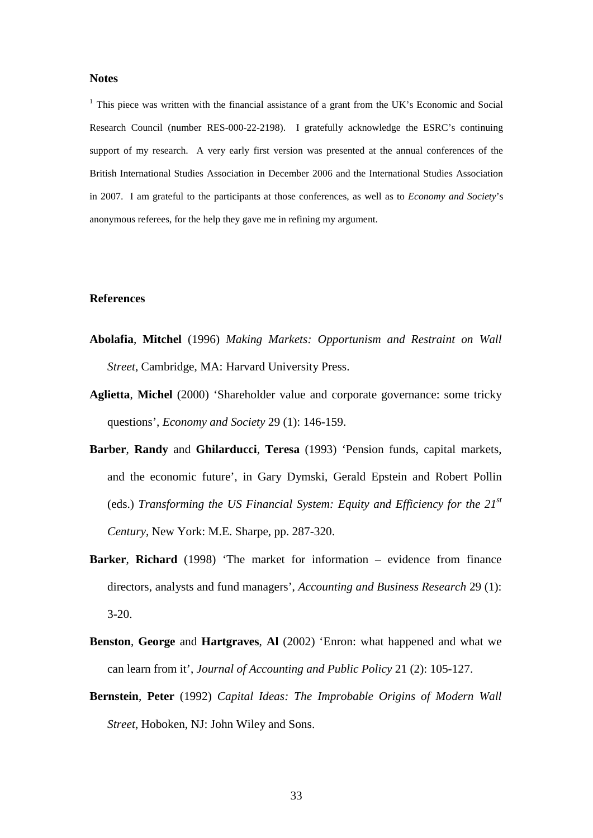### **Notes**

<sup>1</sup> This piece was written with the financial assistance of a grant from the UK's Economic and Social Research Council (number RES-000-22-2198). I gratefully acknowledge the ESRC's continuing support of my research. A very early first version was presented at the annual conferences of the British International Studies Association in December 2006 and the International Studies Association in 2007. I am grateful to the participants at those conferences, as well as to *Economy and Society*'s anonymous referees, for the help they gave me in refining my argument.

## **References**

- **Abolafia**, **Mitchel** (1996) *Making Markets: Opportunism and Restraint on Wall Street*, Cambridge, MA: Harvard University Press.
- **Aglietta**, **Michel** (2000) 'Shareholder value and corporate governance: some tricky questions', *Economy and Society* 29 (1): 146-159.
- **Barber**, **Randy** and **Ghilarducci**, **Teresa** (1993) 'Pension funds, capital markets, and the economic future', in Gary Dymski, Gerald Epstein and Robert Pollin (eds.) *Transforming the US Financial System: Equity and Efficiency for the 21st Century*, New York: M.E. Sharpe, pp. 287-320.
- **Barker**, **Richard** (1998) 'The market for information evidence from finance directors, analysts and fund managers', *Accounting and Business Research* 29 (1): 3-20.
- **Benston**, **George** and **Hartgraves**, **Al** (2002) 'Enron: what happened and what we can learn from it', *Journal of Accounting and Public Policy* 21 (2): 105-127.
- **Bernstein**, **Peter** (1992) *Capital Ideas: The Improbable Origins of Modern Wall Street*, Hoboken, NJ: John Wiley and Sons.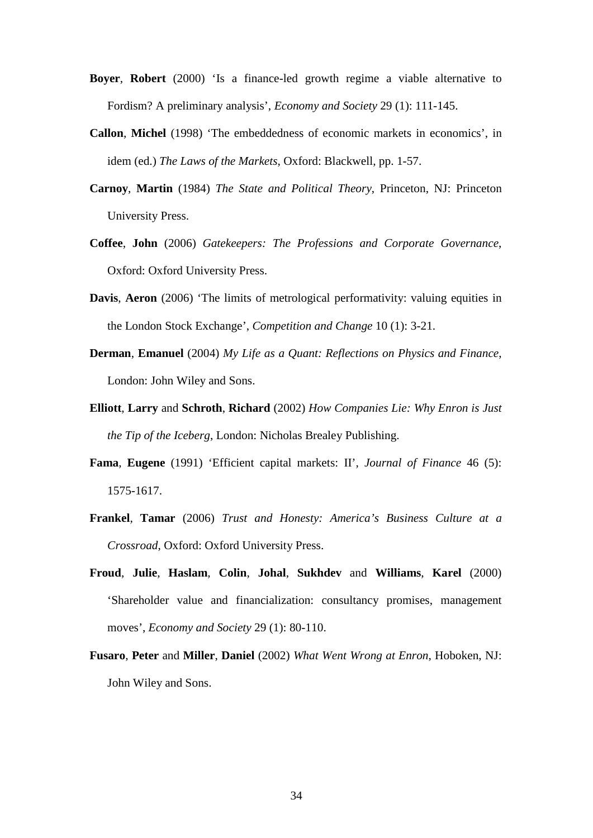- **Boyer**, **Robert** (2000) 'Is a finance-led growth regime a viable alternative to Fordism? A preliminary analysis', *Economy and Society* 29 (1): 111-145.
- **Callon**, **Michel** (1998) 'The embeddedness of economic markets in economics', in idem (ed.) *The Laws of the Markets*, Oxford: Blackwell, pp. 1-57.
- **Carnoy**, **Martin** (1984) *The State and Political Theory*, Princeton, NJ: Princeton University Press.
- **Coffee**, **John** (2006) *Gatekeepers: The Professions and Corporate Governance*, Oxford: Oxford University Press.
- **Davis, Aeron** (2006) 'The limits of metrological performativity: valuing equities in the London Stock Exchange', *Competition and Change* 10 (1): 3-21.
- **Derman**, **Emanuel** (2004) *My Life as a Quant: Reflections on Physics and Finance*, London: John Wiley and Sons.
- **Elliott**, **Larry** and **Schroth**, **Richard** (2002) *How Companies Lie: Why Enron is Just the Tip of the Iceberg*, London: Nicholas Brealey Publishing.
- **Fama**, **Eugene** (1991) 'Efficient capital markets: II', *Journal of Finance* 46 (5): 1575-1617.
- **Frankel**, **Tamar** (2006) *Trust and Honesty: America's Business Culture at a Crossroad*, Oxford: Oxford University Press.
- **Froud**, **Julie**, **Haslam**, **Colin**, **Johal**, **Sukhdev** and **Williams**, **Karel** (2000) 'Shareholder value and financialization: consultancy promises, management moves', *Economy and Society* 29 (1): 80-110.
- **Fusaro**, **Peter** and **Miller**, **Daniel** (2002) *What Went Wrong at Enron*, Hoboken, NJ: John Wiley and Sons.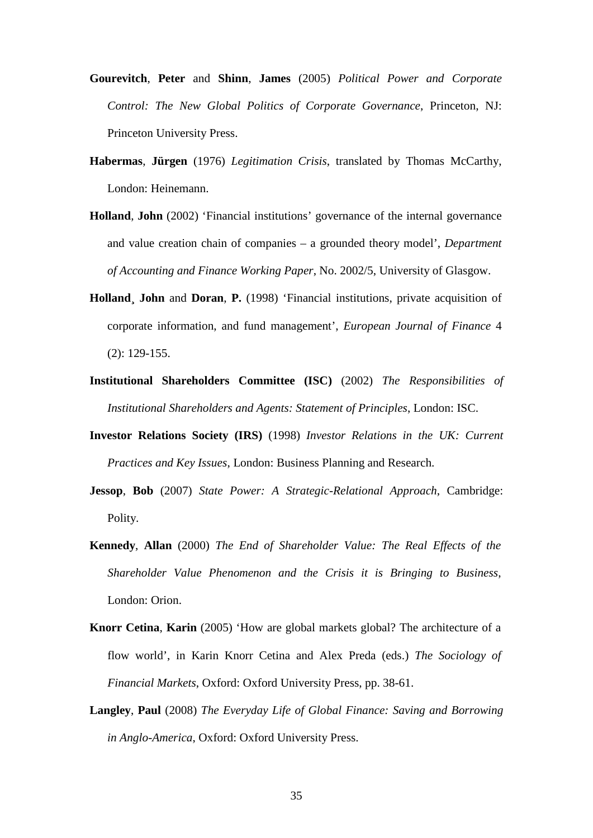- **Gourevitch**, **Peter** and **Shinn**, **James** (2005) *Political Power and Corporate Control: The New Global Politics of Corporate Governance*, Princeton, NJ: Princeton University Press.
- **Habermas**, **Jürgen** (1976) *Legitimation Crisis*, translated by Thomas McCarthy, London: Heinemann.
- **Holland**, **John** (2002) 'Financial institutions' governance of the internal governance and value creation chain of companies – a grounded theory model', *Department of Accounting and Finance Working Paper*, No. 2002/5, University of Glasgow.
- **Holland¸ John** and **Doran**, **P.** (1998) 'Financial institutions, private acquisition of corporate information, and fund management', *European Journal of Finance* 4 (2): 129-155.
- **Institutional Shareholders Committee (ISC)** (2002) *The Responsibilities of Institutional Shareholders and Agents: Statement of Principles*, London: ISC.
- **Investor Relations Society (IRS)** (1998) *Investor Relations in the UK: Current Practices and Key Issues*, London: Business Planning and Research.
- **Jessop**, **Bob** (2007) *State Power: A Strategic-Relational Approach*, Cambridge: Polity.
- **Kennedy**, **Allan** (2000) *The End of Shareholder Value: The Real Effects of the Shareholder Value Phenomenon and the Crisis it is Bringing to Business*, London: Orion.
- **Knorr Cetina**, **Karin** (2005) 'How are global markets global? The architecture of a flow world', in Karin Knorr Cetina and Alex Preda (eds.) *The Sociology of Financial Markets*, Oxford: Oxford University Press, pp. 38-61.
- **Langley**, **Paul** (2008) *The Everyday Life of Global Finance: Saving and Borrowing in Anglo-America*, Oxford: Oxford University Press.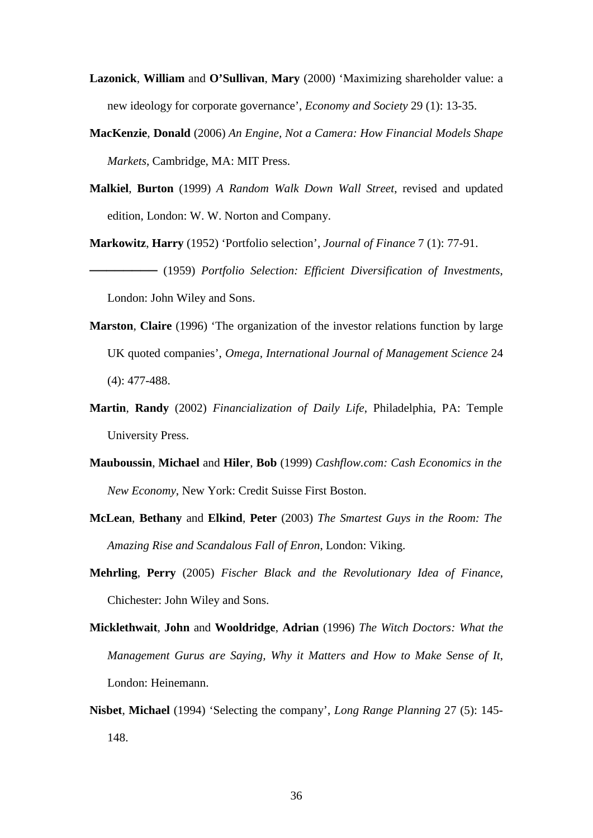- **Lazonick**, **William** and **O'Sullivan**, **Mary** (2000) 'Maximizing shareholder value: a new ideology for corporate governance', *Economy and Society* 29 (1): 13-35.
- **MacKenzie**, **Donald** (2006) *An Engine, Not a Camera: How Financial Models Shape Markets*, Cambridge, MA: MIT Press.
- **Malkiel**, **Burton** (1999) *A Random Walk Down Wall Street*, revised and updated edition, London: W. W. Norton and Company.
- **Markowitz**, **Harry** (1952) 'Portfolio selection', *Journal of Finance* 7 (1): 77-91. ──────── (1959) *Portfolio Selection: Efficient Diversification of Investments*, London: John Wiley and Sons.
- **Marston**, **Claire** (1996) 'The organization of the investor relations function by large UK quoted companies', *Omega, International Journal of Management Science* 24 (4): 477-488.
- **Martin**, **Randy** (2002) *Financialization of Daily Life*, Philadelphia, PA: Temple University Press.
- **Mauboussin**, **Michael** and **Hiler**, **Bob** (1999) *Cashflow.com: Cash Economics in the New Economy*, New York: Credit Suisse First Boston.
- **McLean**, **Bethany** and **Elkind**, **Peter** (2003) *The Smartest Guys in the Room: The Amazing Rise and Scandalous Fall of Enron*, London: Viking.
- **Mehrling**, **Perry** (2005) *Fischer Black and the Revolutionary Idea of Finance*, Chichester: John Wiley and Sons.
- **Micklethwait**, **John** and **Wooldridge**, **Adrian** (1996) *The Witch Doctors: What the Management Gurus are Saying, Why it Matters and How to Make Sense of It*, London: Heinemann.
- **Nisbet**, **Michael** (1994) 'Selecting the company', *Long Range Planning* 27 (5): 145- 148.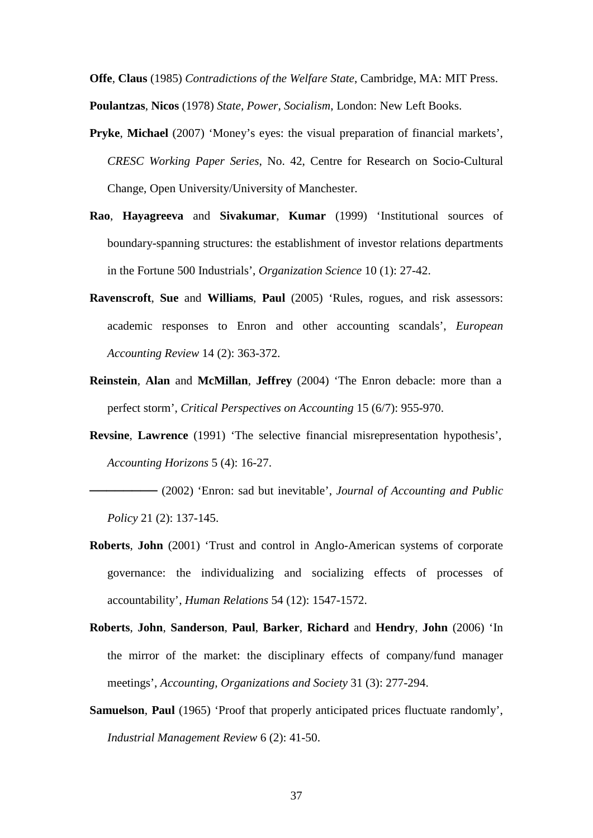**Offe**, **Claus** (1985) *Contradictions of the Welfare State*, Cambridge, MA: MIT Press. **Poulantzas**, **Nicos** (1978) *State, Power, Socialism*, London: New Left Books.

- **Pryke**, **Michael** (2007) 'Money's eyes: the visual preparation of financial markets', *CRESC Working Paper Series*, No. 42, Centre for Research on Socio-Cultural Change, Open University/University of Manchester.
- **Rao**, **Hayagreeva** and **Sivakumar**, **Kumar** (1999) 'Institutional sources of boundary-spanning structures: the establishment of investor relations departments in the Fortune 500 Industrials', *Organization Science* 10 (1): 27-42.
- **Ravenscroft**, **Sue** and **Williams**, **Paul** (2005) 'Rules, rogues, and risk assessors: academic responses to Enron and other accounting scandals', *European Accounting Review* 14 (2): 363-372.
- **Reinstein**, **Alan** and **McMillan**, **Jeffrey** (2004) 'The Enron debacle: more than a perfect storm', *Critical Perspectives on Accounting* 15 (6/7): 955-970.
- **Revsine**, **Lawrence** (1991) 'The selective financial misrepresentation hypothesis', *Accounting Horizons* 5 (4): 16-27.

 $\rightarrow$  (2002) 'Enron: sad but inevitable', *Journal of Accounting and Public Policy* 21 (2): 137-145.

- **Roberts**, **John** (2001) 'Trust and control in Anglo-American systems of corporate governance: the individualizing and socializing effects of processes of accountability', *Human Relations* 54 (12): 1547-1572.
- **Roberts**, **John**, **Sanderson**, **Paul**, **Barker**, **Richard** and **Hendry**, **John** (2006) 'In the mirror of the market: the disciplinary effects of company/fund manager meetings', *Accounting, Organizations and Society* 31 (3): 277-294.
- **Samuelson**, **Paul** (1965) 'Proof that properly anticipated prices fluctuate randomly', *Industrial Management Review* 6 (2): 41-50.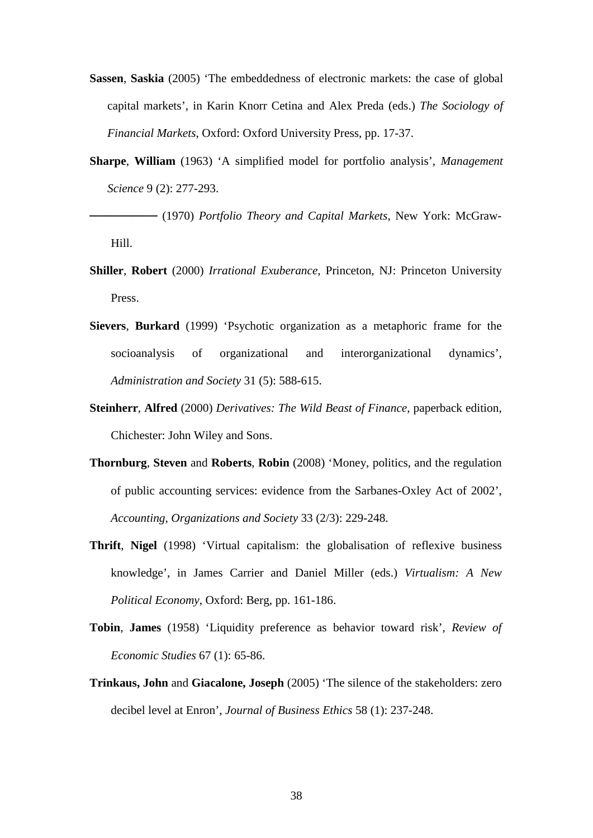- **Sassen**, **Saskia** (2005) 'The embeddedness of electronic markets: the case of global capital markets', in Karin Knorr Cetina and Alex Preda (eds.) *The Sociology of Financial Markets*, Oxford: Oxford University Press, pp. 17-37.
- **Sharpe**, **William** (1963) 'A simplified model for portfolio analysis', *Management Science* 9 (2): 277-293.

 $-$  (1970) *Portfolio Theory and Capital Markets*, New York: McGraw-Hill.

- **Shiller**, **Robert** (2000) *Irrational Exuberance*, Princeton, NJ: Princeton University Press.
- **Sievers**, **Burkard** (1999) 'Psychotic organization as a metaphoric frame for the socioanalysis of organizational and interorganizational dynamics', *Administration and Society* 31 (5): 588-615.
- **Steinherr**, **Alfred** (2000) *Derivatives: The Wild Beast of Finance*, paperback edition, Chichester: John Wiley and Sons.
- **Thornburg**, **Steven** and **Roberts**, **Robin** (2008) 'Money, politics, and the regulation of public accounting services: evidence from the Sarbanes-Oxley Act of 2002', *Accounting, Organizations and Society* 33 (2/3): 229-248.
- **Thrift**, **Nigel** (1998) 'Virtual capitalism: the globalisation of reflexive business knowledge', in James Carrier and Daniel Miller (eds.) *Virtualism: A New Political Economy*, Oxford: Berg, pp. 161-186.
- **Tobin**, **James** (1958) 'Liquidity preference as behavior toward risk', *Review of Economic Studies* 67 (1): 65-86.
- **Trinkaus, John** and **Giacalone, Joseph** (2005) 'The silence of the stakeholders: zero decibel level at Enron', *Journal of Business Ethics* 58 (1): 237-248.